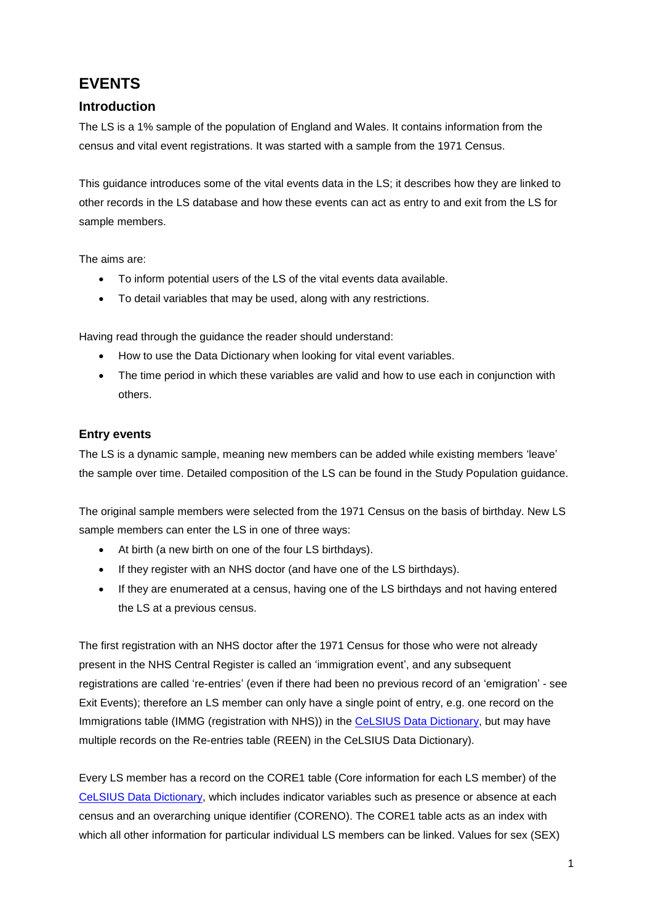# **EVENTS**

# **Introduction**

The LS is a 1% sample of the population of England and Wales. It contains information from the census and vital event registrations. It was started with a sample from the 1971 Census.

This guidance introduces some of the vital events data in the LS; it describes how they are linked to other records in the LS database and how these events can act as entry to and exit from the LS for sample members.

The aims are:

- To inform potential users of the LS of the vital events data available.
- To detail variables that may be used, along with any restrictions.

Having read through the guidance the reader should understand:

- How to use the Data Dictionary when looking for vital event variables.
- The time period in which these variables are valid and how to use each in conjunction with others.

#### **Entry events**

The LS is a dynamic sample, meaning new members can be added while existing members 'leave' the sample over time. Detailed composition of the LS can be found in the Study Population guidance.

The original sample members were selected from the 1971 Census on the basis of birthday. New LS sample members can enter the LS in one of three ways:

- At birth (a new birth on one of the four LS birthdays).
- If they register with an NHS doctor (and have one of the LS birthdays).
- If they are enumerated at a census, having one of the LS birthdays and not having entered the LS at a previous census.

The first registration with an NHS doctor after the 1971 Census for those who were not already present in the NHS Central Register is called an 'immigration event', and any subsequent registrations are called 're-entries' (even if there had been no previous record of an 'emigration' - see Exit Events); therefore an LS member can only have a single point of entry, e.g. one record on the Immigrations table (IMMG (registration with NHS)) in th[e CeLSIUS Data Dictionary,](https://www.ucl.ac.uk/infostudies/silva-php-resources/researchProjects/celsius/standalone/listTables.php) but may have multiple records on the Re-entries table (REEN) in the CeLSIUS Data Dictionary).

Every LS member has a record on the CORE1 table (Core information for each LS member) of the [CeLSIUS Data Dictionary,](https://www.ucl.ac.uk/infostudies/silva-php-resources/researchProjects/celsius/standalone/listTables.php) which includes indicator variables such as presence or absence at each census and an overarching unique identifier (CORENO). The CORE1 table acts as an index with which all other information for particular individual LS members can be linked. Values for sex (SEX)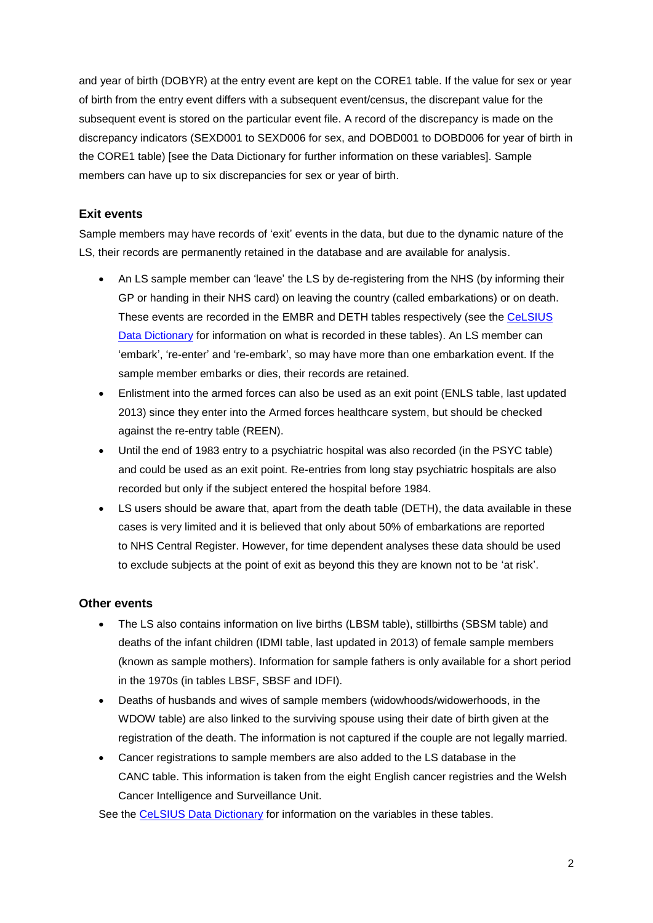and year of birth (DOBYR) at the entry event are kept on the CORE1 table. If the value for sex or year of birth from the entry event differs with a subsequent event/census, the discrepant value for the subsequent event is stored on the particular event file. A record of the discrepancy is made on the discrepancy indicators (SEXD001 to SEXD006 for sex, and DOBD001 to DOBD006 for year of birth in the CORE1 table) [see the Data Dictionary for further information on these variables]. Sample members can have up to six discrepancies for sex or year of birth.

#### **Exit events**

Sample members may have records of 'exit' events in the data, but due to the dynamic nature of the LS, their records are permanently retained in the database and are available for analysis.

- An LS sample member can 'leave' the LS by de-registering from the NHS (by informing their GP or handing in their NHS card) on leaving the country (called embarkations) or on death. These events are recorded in the EMBR and DETH tables respectively (see the [CeLSIUS](https://www.ucl.ac.uk/infostudies/silva-php-resources/researchProjects/celsius/standalone/listTables.php)  [Data Dictionary](https://www.ucl.ac.uk/infostudies/silva-php-resources/researchProjects/celsius/standalone/listTables.php) for information on what is recorded in these tables). An LS member can 'embark', 're-enter' and 're-embark', so may have more than one embarkation event. If the sample member embarks or dies, their records are retained.
- Enlistment into the armed forces can also be used as an exit point (ENLS table, last updated 2013) since they enter into the Armed forces healthcare system, but should be checked against the re-entry table (REEN).
- Until the end of 1983 entry to a psychiatric hospital was also recorded (in the PSYC table) and could be used as an exit point. Re-entries from long stay psychiatric hospitals are also recorded but only if the subject entered the hospital before 1984.
- LS users should be aware that, apart from the death table (DETH), the data available in these cases is very limited and it is believed that only about 50% of embarkations are reported to NHS Central Register. However, for time dependent analyses these data should be used to exclude subjects at the point of exit as beyond this they are known not to be 'at risk'.

#### **Other events**

- The LS also contains information on live births (LBSM table), stillbirths (SBSM table) and deaths of the infant children (IDMI table, last updated in 2013) of female sample members (known as sample mothers). Information for sample fathers is only available for a short period in the 1970s (in tables LBSF, SBSF and IDFI).
- Deaths of husbands and wives of sample members (widowhoods/widowerhoods, in the WDOW table) are also linked to the surviving spouse using their date of birth given at the registration of the death. The information is not captured if the couple are not legally married.
- Cancer registrations to sample members are also added to the LS database in the CANC table. This information is taken from the eight English cancer registries and the Welsh Cancer Intelligence and Surveillance Unit.

See the [CeLSIUS Data Dictionary](https://www.ucl.ac.uk/infostudies/silva-php-resources/researchProjects/celsius/standalone/listTables.php) for information on the variables in these tables.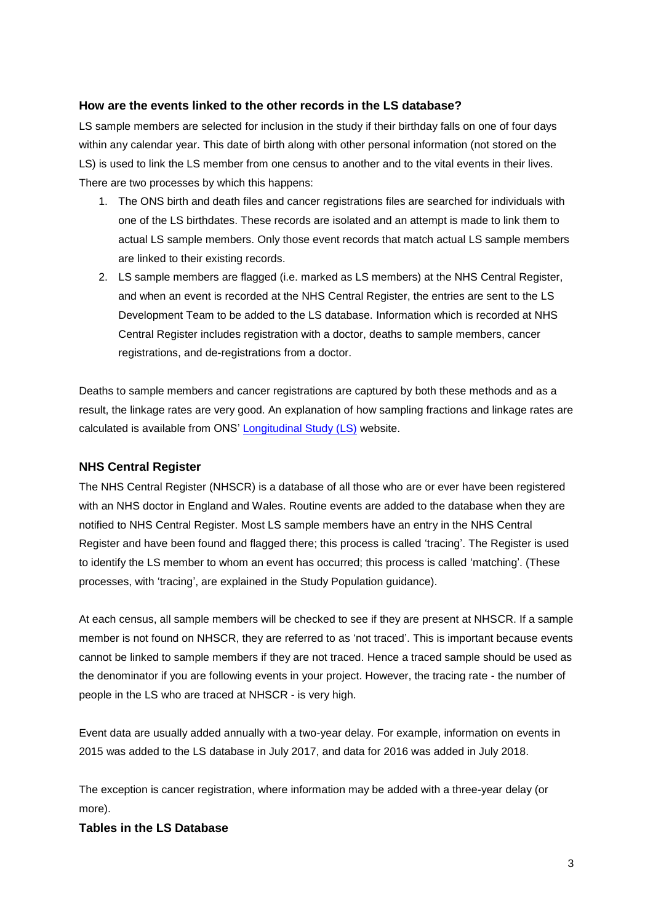#### **How are the events linked to the other records in the LS database?**

LS sample members are selected for inclusion in the study if their birthday falls on one of four days within any calendar year. This date of birth along with other personal information (not stored on the LS) is used to link the LS member from one census to another and to the vital events in their lives. There are two processes by which this happens:

- 1. The ONS birth and death files and cancer registrations files are searched for individuals with one of the LS birthdates. These records are isolated and an attempt is made to link them to actual LS sample members. Only those event records that match actual LS sample members are linked to their existing records.
- 2. LS sample members are flagged (i.e. marked as LS members) at the NHS Central Register, and when an event is recorded at the NHS Central Register, the entries are sent to the LS Development Team to be added to the LS database. Information which is recorded at NHS Central Register includes registration with a doctor, deaths to sample members, cancer registrations, and de-registrations from a doctor.

Deaths to sample members and cancer registrations are captured by both these methods and as a result, the linkage rates are very good. An explanation of how sampling fractions and linkage rates are calculated is available from ONS' [Longitudinal Study \(LS\)](https://www.ons.gov.uk/aboutus/whatwedo/paidservices/longitudinalstudyls) website.

#### **NHS Central Register**

The NHS Central Register (NHSCR) is a database of all those who are or ever have been registered with an NHS doctor in England and Wales. Routine events are added to the database when they are notified to NHS Central Register. Most LS sample members have an entry in the NHS Central Register and have been found and flagged there; this process is called 'tracing'. The Register is used to identify the LS member to whom an event has occurred; this process is called 'matching'. (These processes, with 'tracing', are explained in the Study Population guidance).

At each census, all sample members will be checked to see if they are present at NHSCR. If a sample member is not found on NHSCR, they are referred to as 'not traced'. This is important because events cannot be linked to sample members if they are not traced. Hence a traced sample should be used as the denominator if you are following events in your project. However, the tracing rate - the number of people in the LS who are traced at NHSCR - is very high.

Event data are usually added annually with a two-year delay. For example, information on events in 2015 was added to the LS database in July 2017, and data for 2016 was added in July 2018.

The exception is cancer registration, where information may be added with a three-year delay (or more).

#### **Tables in the LS Database**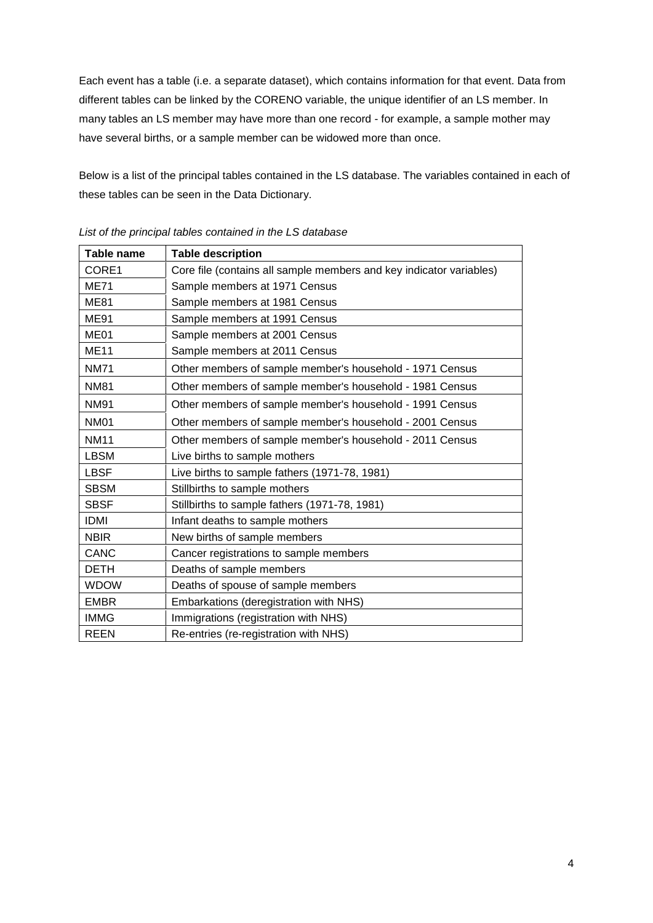Each event has a table (i.e. a separate dataset), which contains information for that event. Data from different tables can be linked by the CORENO variable, the unique identifier of an LS member. In many tables an LS member may have more than one record - for example, a sample mother may have several births, or a sample member can be widowed more than once.

Below is a list of the principal tables contained in the LS database. The variables contained in each of these tables can be seen in the Data Dictionary.

| <b>Table name</b> | <b>Table description</b>                                            |
|-------------------|---------------------------------------------------------------------|
| CORE1             | Core file (contains all sample members and key indicator variables) |
| <b>ME71</b>       | Sample members at 1971 Census                                       |
| <b>ME81</b>       | Sample members at 1981 Census                                       |
| <b>ME91</b>       | Sample members at 1991 Census                                       |
| ME01              | Sample members at 2001 Census                                       |
| <b>ME11</b>       | Sample members at 2011 Census                                       |
| <b>NM71</b>       | Other members of sample member's household - 1971 Census            |
| <b>NM81</b>       | Other members of sample member's household - 1981 Census            |
| <b>NM91</b>       | Other members of sample member's household - 1991 Census            |
| <b>NM01</b>       | Other members of sample member's household - 2001 Census            |
| <b>NM11</b>       | Other members of sample member's household - 2011 Census            |
| <b>LBSM</b>       | Live births to sample mothers                                       |
| <b>LBSF</b>       | Live births to sample fathers (1971-78, 1981)                       |
| <b>SBSM</b>       | Stillbirths to sample mothers                                       |
| <b>SBSF</b>       | Stillbirths to sample fathers (1971-78, 1981)                       |
| <b>IDMI</b>       | Infant deaths to sample mothers                                     |
| <b>NBIR</b>       | New births of sample members                                        |
| CANC              | Cancer registrations to sample members                              |
| <b>DETH</b>       | Deaths of sample members                                            |
| <b>WDOW</b>       | Deaths of spouse of sample members                                  |
| <b>EMBR</b>       | Embarkations (deregistration with NHS)                              |
| <b>IMMG</b>       | Immigrations (registration with NHS)                                |
| <b>REEN</b>       | Re-entries (re-registration with NHS)                               |

*List of the principal tables contained in the LS database*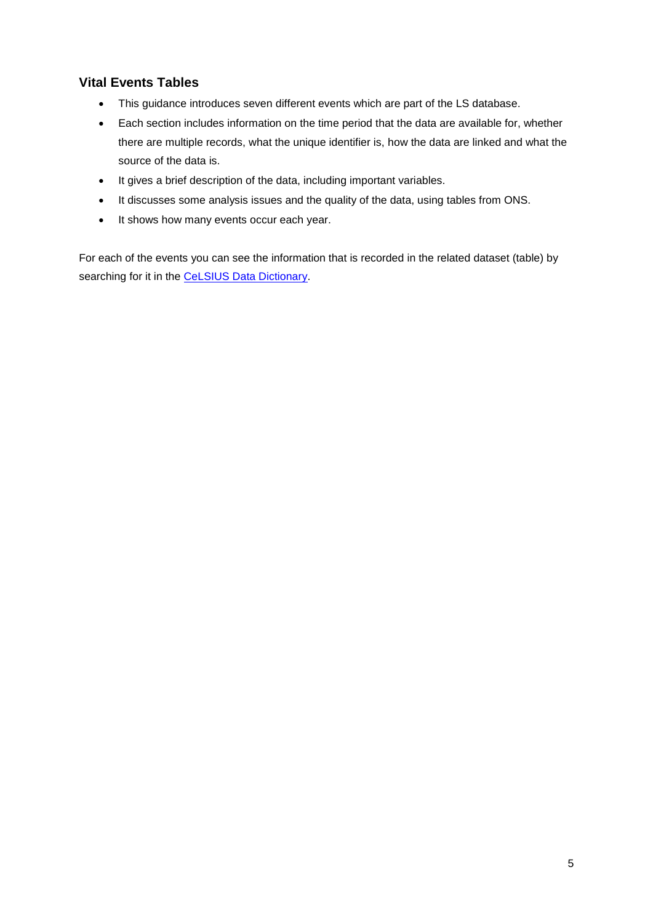# **Vital Events Tables**

- This guidance introduces seven different events which are part of the LS database.
- Each section includes information on the time period that the data are available for, whether there are multiple records, what the unique identifier is, how the data are linked and what the source of the data is.
- It gives a brief description of the data, including important variables.
- It discusses some analysis issues and the quality of the data, using tables from ONS.
- It shows how many events occur each year.

For each of the events you can see the information that is recorded in the related dataset (table) by searching for it in the [CeLSIUS Data Dictionary.](https://www.ucl.ac.uk/infostudies/silva-php-resources/researchProjects/celsius/standalone/listTables.php)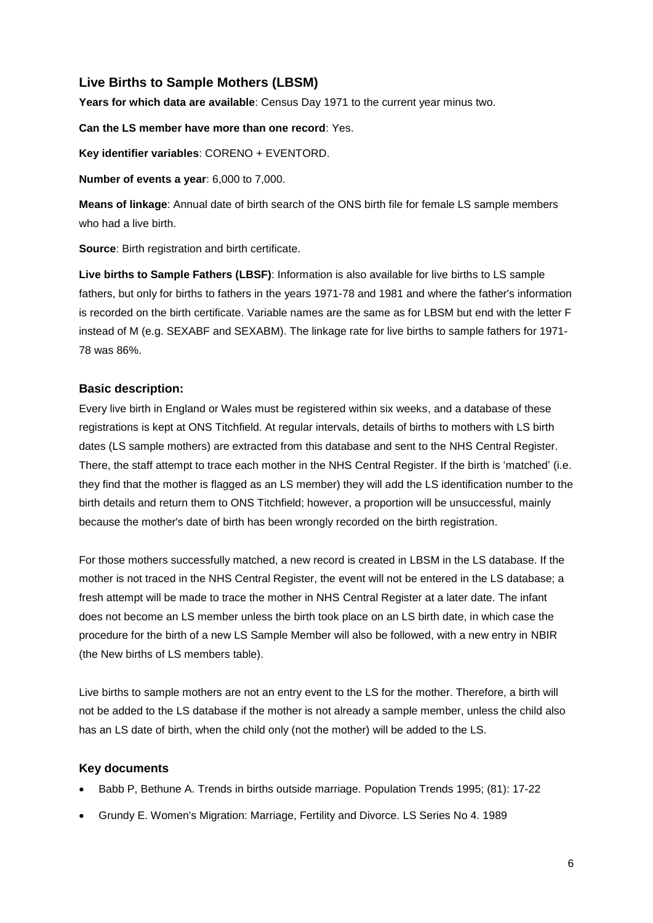# **Live Births to Sample Mothers (LBSM)**

**Years for which data are available**: Census Day 1971 to the current year minus two.

**Can the LS member have more than one record**: Yes.

**Key identifier variables**: CORENO + EVENTORD.

**Number of events a year**: 6,000 to 7,000.

**Means of linkage**: Annual date of birth search of the ONS birth file for female LS sample members who had a live birth.

**Source**: Birth registration and birth certificate.

**Live births to Sample Fathers [\(LBSF\)](http://www.celsiusdev.lshtm.ac.uk/newDataDict/ddexact2k.php?searchfield=sqlname&searchterm=LBSF&logic=and&sort=varname)**: Information is also available for live births to LS sample fathers, but only for births to fathers in the years 1971-78 and 1981 and where the father's information is recorded on the birth certificate. Variable names are the same as for LBSM but end with the letter F instead of M (e.g. SEXABF and SEXABM). The linkage rate for live births to sample fathers for 1971- 78 was 86%.

### **Basic description:**

Every live birth in England or Wales must be registered within six weeks, and a database of these registrations is kept at ONS Titchfield. At regular intervals, details of births to mothers with LS birth dates (LS sample mothers) are extracted from this database and sent to the NHS Central Register. There, the staff attempt to trace each mother in the NHS Central Register. If the birth is 'matched' (i.e. they find that the mother is flagged as an LS member) they will add the LS identification number to the birth details and return them to ONS Titchfield; however, a proportion will be unsuccessful, mainly because the mother's date of birth has been wrongly recorded on the birth registration.

For those mothers successfully matched, a new record is created in LBSM in the LS database. If the mother is not traced in the NHS Central Register, the event will not be entered in the LS database; a fresh attempt will be made to trace the mother in NHS Central Register at a later date. The infant does not become an LS member unless the birth took place on an LS birth date, in which case the procedure for the birth of a new LS Sample Member will also be followed, with a new entry in NBIR (the New births of LS members table).

Live births to sample mothers are not an entry event to the LS for the mother. Therefore, a birth will not be added to the LS database if the mother is not already a sample member, unless the child also has an LS date of birth, when the child only (not the mother) will be added to the LS.

#### **Key documents**

- Babb P, Bethune A. Trends in births outside marriage. Population Trends 1995; (81): 17-22
- Grundy E. Women's Migration: Marriage, Fertility and Divorce. LS Series No 4. 1989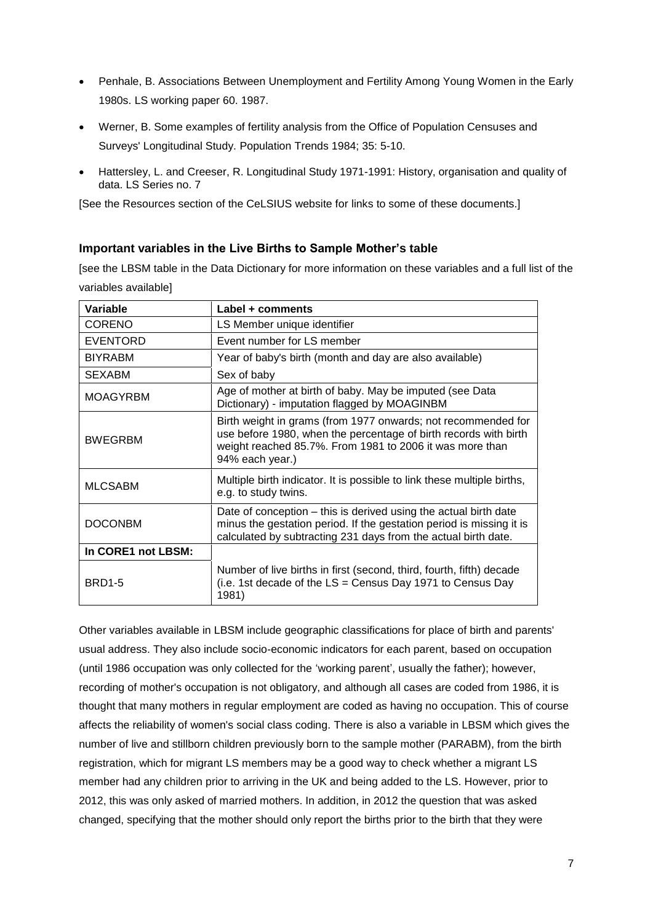- Penhale, B. Associations Between Unemployment and Fertility Among Young Women in the Early 1980s. LS working paper 60. 1987.
- Werner, B. Some examples of fertility analysis from the Office of Population Censuses and Surveys' Longitudinal Study. Population Trends 1984; 35: 5-10.
- Hattersley, L. and Creeser, R. Longitudinal Study 1971-1991: History, organisation and quality of data. LS Series no. 7

[See the Resources section of the CeLSIUS website for links to some of these documents.]

#### **Important variables in the Live Births to Sample Mother's table**

[see the LBSM table in the Data Dictionary for more information on these variables and a full list of the variables available]

| Variable           | Label + comments                                                                                                                                                                                                 |  |  |
|--------------------|------------------------------------------------------------------------------------------------------------------------------------------------------------------------------------------------------------------|--|--|
| <b>CORENO</b>      | LS Member unique identifier                                                                                                                                                                                      |  |  |
| <b>EVENTORD</b>    | Event number for LS member                                                                                                                                                                                       |  |  |
| <b>BIYRABM</b>     | Year of baby's birth (month and day are also available)                                                                                                                                                          |  |  |
| <b>SEXABM</b>      | Sex of baby                                                                                                                                                                                                      |  |  |
| <b>MOAGYRBM</b>    | Age of mother at birth of baby. May be imputed (see Data<br>Dictionary) - imputation flagged by MOAGINBM                                                                                                         |  |  |
| <b>BWEGRBM</b>     | Birth weight in grams (from 1977 onwards; not recommended for<br>use before 1980, when the percentage of birth records with birth<br>weight reached 85.7%. From 1981 to 2006 it was more than<br>94% each year.) |  |  |
| <b>MLCSABM</b>     | Multiple birth indicator. It is possible to link these multiple births,<br>e.g. to study twins.                                                                                                                  |  |  |
| <b>DOCONBM</b>     | Date of conception – this is derived using the actual birth date<br>minus the gestation period. If the gestation period is missing it is<br>calculated by subtracting 231 days from the actual birth date.       |  |  |
| In CORE1 not LBSM: |                                                                                                                                                                                                                  |  |  |
| <b>BRD1-5</b>      | Number of live births in first (second, third, fourth, fifth) decade<br>(i.e. 1st decade of the $LS =$ Census Day 1971 to Census Day<br>1981)                                                                    |  |  |

Other variables available in LBSM include geographic classifications for place of birth and parents' usual address. They also include socio-economic indicators for each parent, based on occupation (until 1986 occupation was only collected for the 'working parent', usually the father); however, recording of mother's occupation is not obligatory, and although all cases are coded from 1986, it is thought that many mothers in regular employment are coded as having no occupation. This of course affects the reliability of women's social class coding. There is also a variable in LBSM which gives the number of live and stillborn children previously born to the sample mother (PARABM), from the birth registration, which for migrant LS members may be a good way to check whether a migrant LS member had any children prior to arriving in the UK and being added to the LS. However, prior to 2012, this was only asked of married mothers. In addition, in 2012 the question that was asked changed, specifying that the mother should only report the births prior to the birth that they were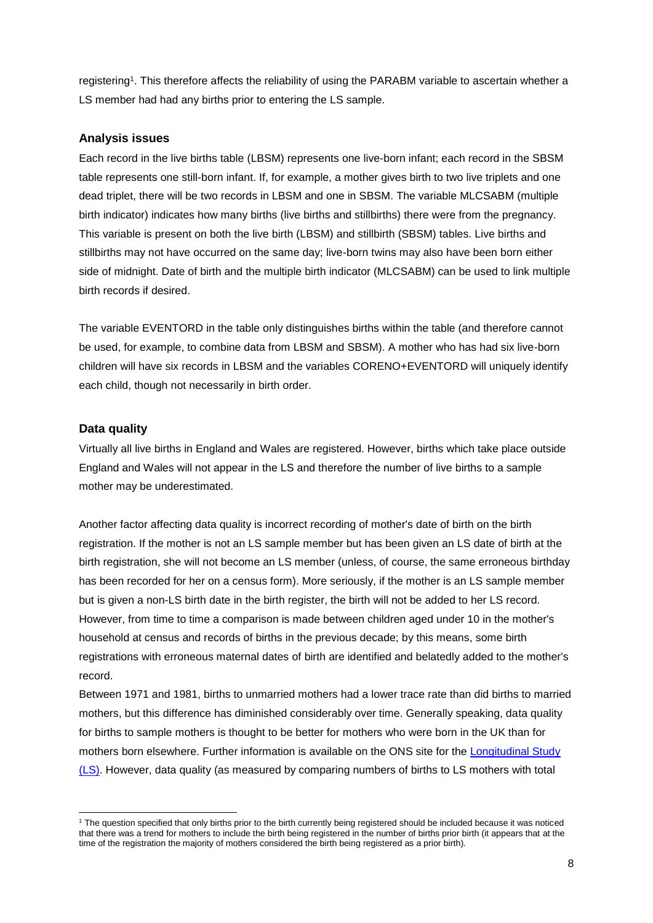registering<sup>1</sup>. This therefore affects the reliability of using the PARABM variable to ascertain whether a LS member had had any births prior to entering the LS sample.

#### **Analysis issues**

Each record in the live births table (LBSM) represents one live-born infant; each record in the SBSM table represents one still-born infant. If, for example, a mother gives birth to two live triplets and one dead triplet, there will be two records in LBSM and one in SBSM. The variable MLCSABM (multiple birth indicator) indicates how many births (live births and stillbirths) there were from the pregnancy. This variable is present on both the live birth (LBSM) and stillbirth (SBSM) tables. Live births and stillbirths may not have occurred on the same day; live-born twins may also have been born either side of midnight. Date of birth and the multiple birth indicator (MLCSABM) can be used to link multiple birth records if desired.

The variable EVENTORD in the table only distinguishes births within the table (and therefore cannot be used, for example, to combine data from LBSM and SBSM). A mother who has had six live-born children will have six records in LBSM and the variables CORENO+EVENTORD will uniquely identify each child, though not necessarily in birth order.

#### **Data quality**

Virtually all live births in England and Wales are registered. However, births which take place outside England and Wales will not appear in the LS and therefore the number of live births to a sample mother may be underestimated.

Another factor affecting data quality is incorrect recording of mother's date of birth on the birth registration. If the mother is not an LS sample member but has been given an LS date of birth at the birth registration, she will not become an LS member (unless, of course, the same erroneous birthday has been recorded for her on a census form). More seriously, if the mother is an LS sample member but is given a non-LS birth date in the birth register, the birth will not be added to her LS record. However, from time to time a comparison is made between children aged under 10 in the mother's household at census and records of births in the previous decade; by this means, some birth registrations with erroneous maternal dates of birth are identified and belatedly added to the mother's record.

Between 1971 and 1981, births to unmarried mothers had a lower trace rate than did births to married mothers, but this difference has diminished considerably over time. Generally speaking, data quality for births to sample mothers is thought to be better for mothers who were born in the UK than for mothers born elsewhere. Further information is available on the ONS site for the [Longitudinal Study](https://www.ons.gov.uk/aboutus/whatwedo/paidservices/longitudinalstudyls)  [\(LS\).](https://www.ons.gov.uk/aboutus/whatwedo/paidservices/longitudinalstudyls) However, data quality (as measured by comparing numbers of births to LS mothers with total

**<sup>.</sup>** <sup>1</sup> The question specified that only births prior to the birth currently being registered should be included because it was noticed that there was a trend for mothers to include the birth being registered in the number of births prior birth (it appears that at the time of the registration the majority of mothers considered the birth being registered as a prior birth).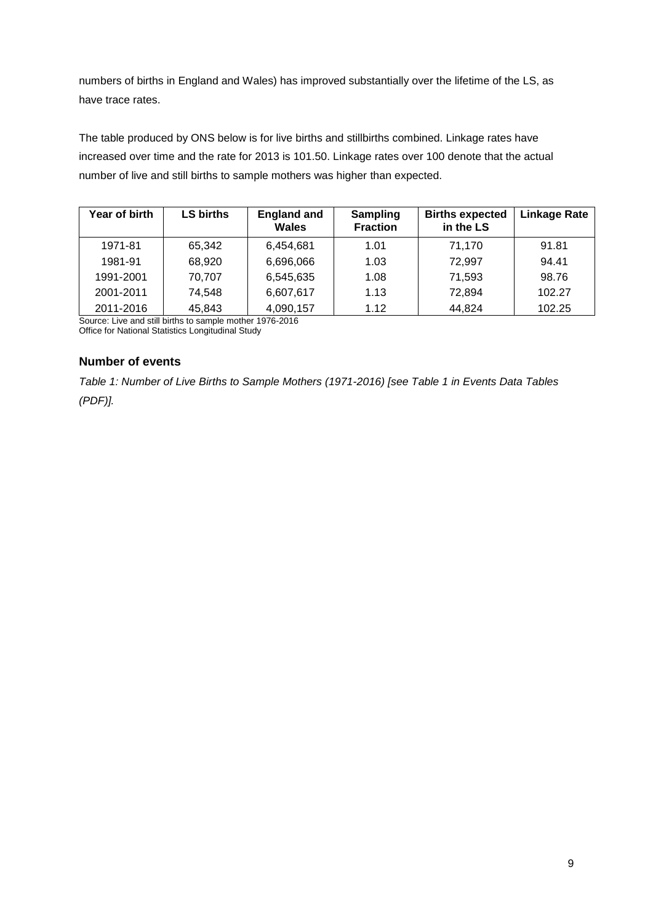numbers of births in England and Wales) has improved substantially over the lifetime of the LS, as have trace rates.

The table produced by ONS below is for live births and stillbirths combined. Linkage rates have increased over time and the rate for 2013 is 101.50. Linkage rates over 100 denote that the actual number of live and still births to sample mothers was higher than expected.

| Year of birth | LS births | <b>England and</b><br>Wales | <b>Sampling</b><br><b>Fraction</b> | <b>Births expected</b><br>in the LS | <b>Linkage Rate</b> |
|---------------|-----------|-----------------------------|------------------------------------|-------------------------------------|---------------------|
| 1971-81       | 65.342    | 6,454,681                   | 1.01                               | 71,170                              | 91.81               |
| 1981-91       | 68,920    | 6,696,066                   | 1.03                               | 72,997                              | 94.41               |
| 1991-2001     | 70,707    | 6,545,635                   | 1.08                               | 71,593                              | 98.76               |
| 2001-2011     | 74,548    | 6,607,617                   | 1.13                               | 72,894                              | 102.27              |
| 2011-2016     | 45,843    | 4,090,157                   | 1.12                               | 44,824                              | 102.25              |

Source: Live and still births to sample mother 1976-2016 Office for National Statistics Longitudinal Study

### **Number of events**

*Table 1: Number of Live Births to Sample Mothers (1971-2016) [see Table 1 in Events Data Tables (PDF)].*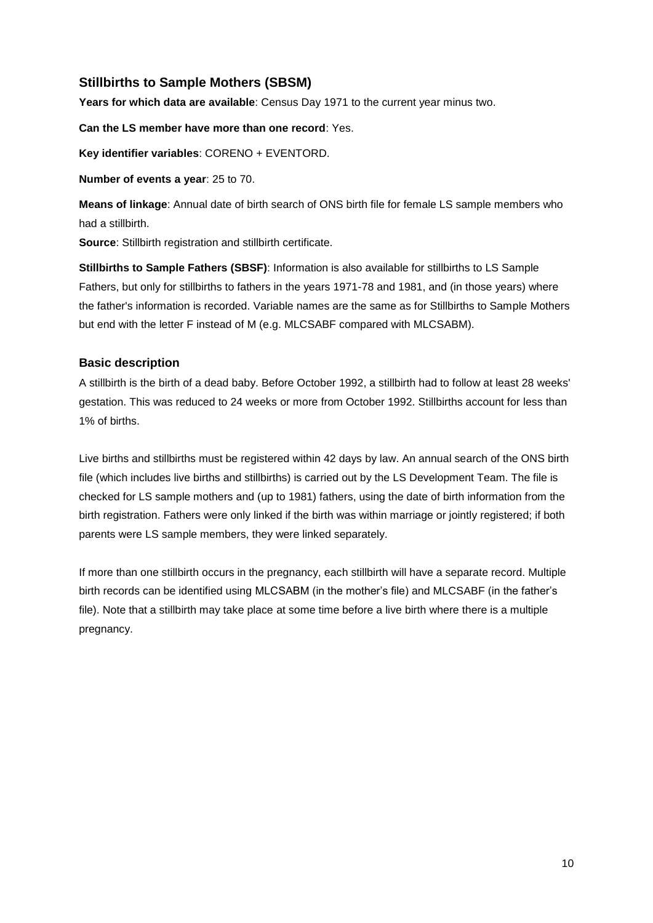# **Stillbirths to Sample Mothers (SBSM)**

**Years for which data are available**: Census Day 1971 to the current year minus two.

**Can the LS member have more than one record**: Yes.

**Key identifier variables**: CORENO + EVENTORD.

**Number of events a year**: 25 to 70.

**Means of linkage**: Annual date of birth search of ONS birth file for female LS sample members who had a stillbirth.

**Source**: Stillbirth registration and stillbirth certificate.

**Stillbirths to Sample Fathers (SBSF)**: Information is also available for stillbirths to LS Sample Fathers, but only for stillbirths to fathers in the years 1971-78 and 1981, and (in those years) where the father's information is recorded. Variable names are the same as for Stillbirths to Sample Mothers but end with the letter F instead of M (e.g. MLCSABF compared with MLCSABM).

### **Basic description**

A stillbirth is the birth of a dead baby. Before October 1992, a stillbirth had to follow at least 28 weeks' gestation. This was reduced to 24 weeks or more from October 1992. Stillbirths account for less than 1% of births.

Live births and stillbirths must be registered within 42 days by law. An annual search of the ONS birth file (which includes live births and stillbirths) is carried out by the LS Development Team. The file is checked for LS sample mothers and (up to 1981) fathers, using the date of birth information from the birth registration. Fathers were only linked if the birth was within marriage or jointly registered; if both parents were LS sample members, they were linked separately.

If more than one stillbirth occurs in the pregnancy, each stillbirth will have a separate record. Multiple birth records can be identified using MLCSABM (in the mother's file) and MLCSABF (in the father's file). Note that a stillbirth may take place at some time before a live birth where there is a multiple pregnancy.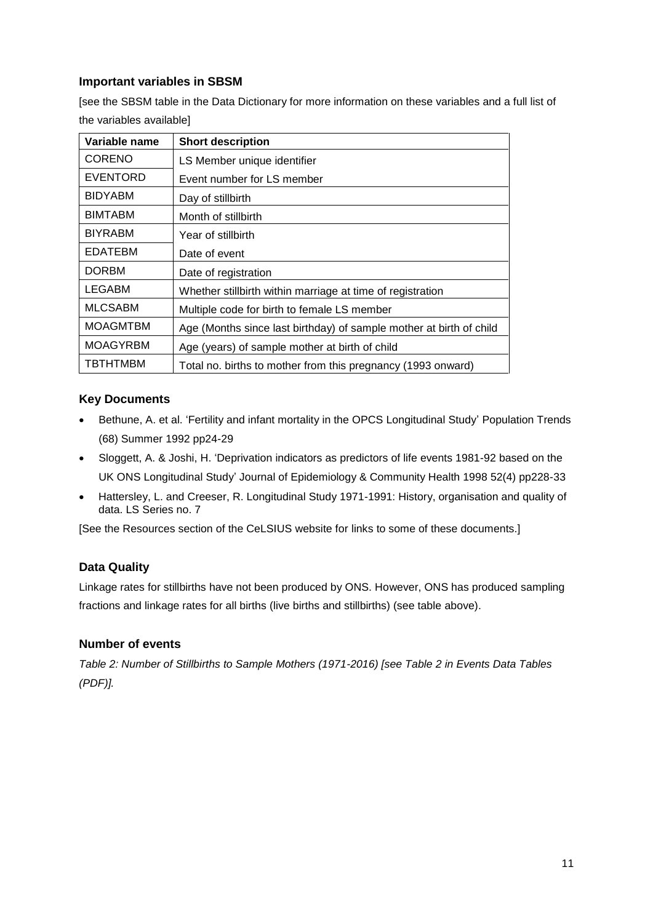### **Important variables in SBSM**

[see the SBSM table in the Data Dictionary for more information on these variables and a full list of the variables available]

| Variable name   | <b>Short description</b>                                            |
|-----------------|---------------------------------------------------------------------|
| <b>CORENO</b>   | LS Member unique identifier                                         |
| <b>EVENTORD</b> | Event number for LS member                                          |
| <b>BIDYABM</b>  | Day of stillbirth                                                   |
| <b>BIMTABM</b>  | Month of stillbirth                                                 |
| <b>BIYRABM</b>  | Year of stillbirth                                                  |
| <b>EDATEBM</b>  | Date of event                                                       |
| <b>DORBM</b>    | Date of registration                                                |
| <b>LEGABM</b>   | Whether stillbirth within marriage at time of registration          |
| <b>MLCSABM</b>  | Multiple code for birth to female LS member                         |
| <b>MOAGMTBM</b> | Age (Months since last birthday) of sample mother at birth of child |
| <b>MOAGYRBM</b> | Age (years) of sample mother at birth of child                      |
| <b>TBTHTMBM</b> | Total no. births to mother from this pregnancy (1993 onward)        |

### **Key Documents**

- Bethune, A. et al. 'Fertility and infant mortality in the OPCS Longitudinal Study' Population Trends (68) Summer 1992 pp24-29
- Sloggett, A. & Joshi, H. 'Deprivation indicators as predictors of life events 1981-92 based on the UK ONS Longitudinal Study' Journal of Epidemiology & Community Health 1998 52(4) pp228-33
- Hattersley, L. and Creeser, R. Longitudinal Study 1971-1991: History, organisation and quality of data. LS Series no. 7

[See the Resources section of the CeLSIUS website for links to some of these documents.]

### **Data Quality**

Linkage rates for stillbirths have not been produced by ONS. However, ONS has produced sampling fractions and linkage rates for all births (live births and stillbirths) (see table above).

#### **Number of events**

*Table 2: Number of Stillbirths to Sample Mothers (1971-2016) [see Table 2 in Events Data Tables (PDF)].*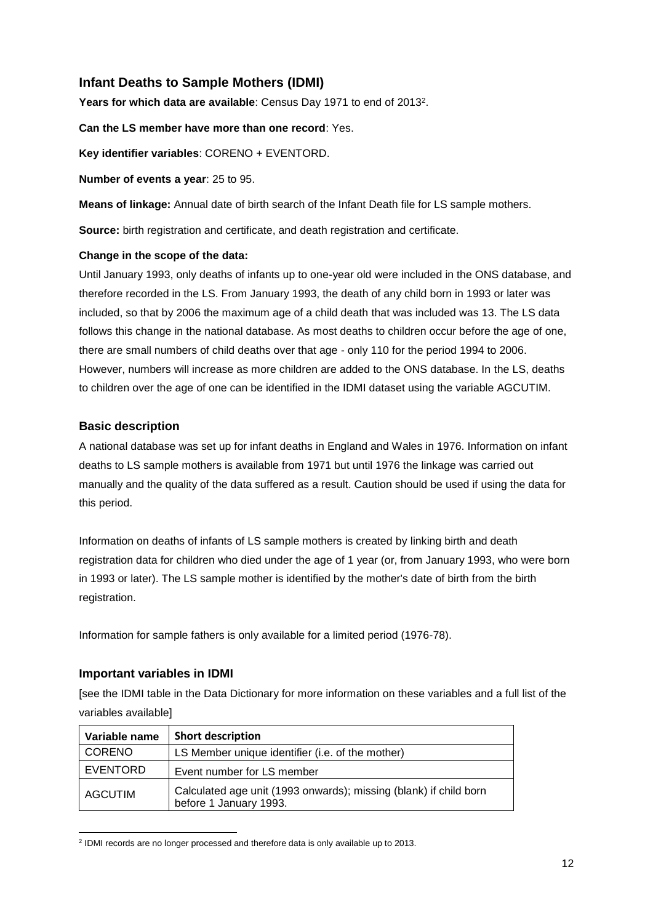# **Infant Deaths to Sample Mothers (IDMI)**

Years for which data are available: Census Day 1971 to end of 2013<sup>2</sup>.

**Can the LS member have more than one record**: Yes.

**Key identifier variables**: CORENO + EVENTORD.

**Number of events a year**: 25 to 95.

**Means of linkage:** Annual date of birth search of the Infant Death file for LS sample mothers.

**Source:** birth registration and certificate, and death registration and certificate.

#### **Change in the scope of the data:**

Until January 1993, only deaths of infants up to one-year old were included in the ONS database, and therefore recorded in the LS. From January 1993, the death of any child born in 1993 or later was included, so that by 2006 the maximum age of a child death that was included was 13. The LS data follows this change in the national database. As most deaths to children occur before the age of one, there are small numbers of child deaths over that age - only 110 for the period 1994 to 2006. However, numbers will increase as more children are added to the ONS database. In the LS, deaths to children over the age of one can be identified in the IDMI dataset using the variable AGCUTIM.

#### **Basic description**

A national database was set up for infant deaths in England and Wales in 1976. Information on infant deaths to LS sample mothers is available from 1971 but until 1976 the linkage was carried out manually and the quality of the data suffered as a result. Caution should be used if using the data for this period.

Information on deaths of infants of LS sample mothers is created by linking birth and death registration data for children who died under the age of 1 year (or, from January 1993, who were born in 1993 or later). The LS sample mother is identified by the mother's date of birth from the birth registration.

Information for sample fathers is only available for a limited period (1976-78).

#### **Important variables in IDMI**

[see the IDMI table in the Data Dictionary for more information on these variables and a full list of the variables available]

| Variable name  | <b>Short description</b>                                                                    |
|----------------|---------------------------------------------------------------------------------------------|
| <b>CORENO</b>  | LS Member unique identifier (i.e. of the mother)                                            |
| EVENTORD       | Event number for LS member                                                                  |
| <b>AGCUTIM</b> | Calculated age unit (1993 onwards); missing (blank) if child born<br>before 1 January 1993. |

**<sup>.</sup>** <sup>2</sup> IDMI records are no longer processed and therefore data is only available up to 2013.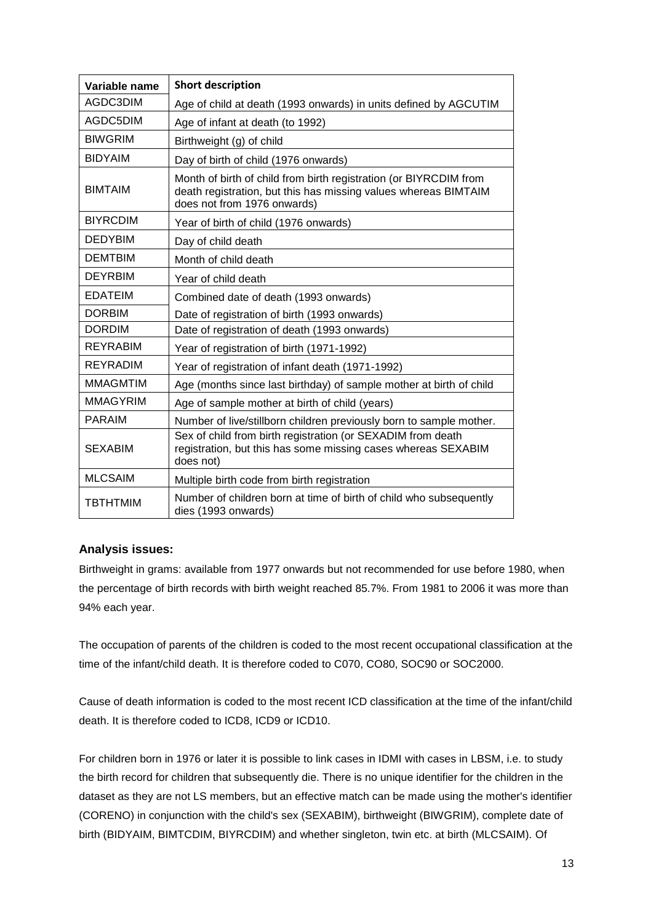| Variable name   | <b>Short description</b>                                                                                                                                            |  |  |
|-----------------|---------------------------------------------------------------------------------------------------------------------------------------------------------------------|--|--|
| AGDC3DIM        | Age of child at death (1993 onwards) in units defined by AGCUTIM                                                                                                    |  |  |
| AGDC5DIM        | Age of infant at death (to 1992)                                                                                                                                    |  |  |
| <b>BIWGRIM</b>  | Birthweight (g) of child                                                                                                                                            |  |  |
| <b>BIDYAIM</b>  | Day of birth of child (1976 onwards)                                                                                                                                |  |  |
| <b>BIMTAIM</b>  | Month of birth of child from birth registration (or BIYRCDIM from<br>death registration, but this has missing values whereas BIMTAIM<br>does not from 1976 onwards) |  |  |
| <b>BIYRCDIM</b> | Year of birth of child (1976 onwards)                                                                                                                               |  |  |
| <b>DEDYBIM</b>  | Day of child death                                                                                                                                                  |  |  |
| <b>DEMTBIM</b>  | Month of child death                                                                                                                                                |  |  |
| <b>DEYRBIM</b>  | Year of child death                                                                                                                                                 |  |  |
| <b>EDATEIM</b>  | Combined date of death (1993 onwards)                                                                                                                               |  |  |
| <b>DORBIM</b>   | Date of registration of birth (1993 onwards)                                                                                                                        |  |  |
| <b>DORDIM</b>   | Date of registration of death (1993 onwards)                                                                                                                        |  |  |
| <b>REYRABIM</b> | Year of registration of birth (1971-1992)                                                                                                                           |  |  |
| <b>REYRADIM</b> | Year of registration of infant death (1971-1992)                                                                                                                    |  |  |
| <b>MMAGMTIM</b> | Age (months since last birthday) of sample mother at birth of child                                                                                                 |  |  |
| <b>MMAGYRIM</b> | Age of sample mother at birth of child (years)                                                                                                                      |  |  |
| <b>PARAIM</b>   | Number of live/stillborn children previously born to sample mother.                                                                                                 |  |  |
| <b>SEXABIM</b>  | Sex of child from birth registration (or SEXADIM from death<br>registration, but this has some missing cases whereas SEXABIM<br>does not)                           |  |  |
| <b>MLCSAIM</b>  | Multiple birth code from birth registration                                                                                                                         |  |  |
| <b>TBTHTMIM</b> | Number of children born at time of birth of child who subsequently<br>dies (1993 onwards)                                                                           |  |  |

#### **Analysis issues:**

Birthweight in grams: available from 1977 onwards but not recommended for use before 1980, when the percentage of birth records with birth weight reached 85.7%. From 1981 to 2006 it was more than 94% each year.

The occupation of parents of the children is coded to the most recent occupational classification at the time of the infant/child death. It is therefore coded to C070, CO80, SOC90 or SOC2000.

Cause of death information is coded to the most recent ICD classification at the time of the infant/child death. It is therefore coded to ICD8, ICD9 or ICD10.

For children born in 1976 or later it is possible to link cases in IDMI with cases in LBSM, i.e. to study the birth record for children that subsequently die. There is no unique identifier for the children in the dataset as they are not LS members, but an effective match can be made using the mother's identifier (CORENO) in conjunction with the child's sex (SEXABIM), birthweight (BIWGRIM), complete date of birth (BIDYAIM, BIMTCDIM, BIYRCDIM) and whether singleton, twin etc. at birth (MLCSAIM). Of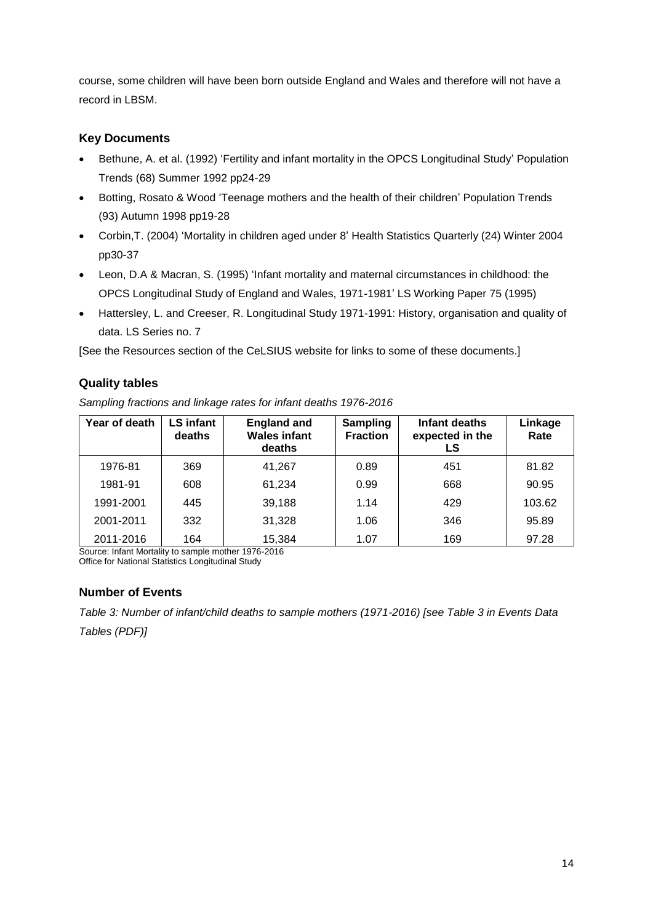course, some children will have been born outside England and Wales and therefore will not have a record in LBSM.

### **Key Documents**

- Bethune, A. et al. (1992) 'Fertility and infant mortality in the OPCS Longitudinal Study' Population Trends (68) Summer 1992 pp24-29
- Botting, Rosato & Wood 'Teenage mothers and the health of their children' Population Trends (93) Autumn 1998 pp19-28
- Corbin,T. (2004) 'Mortality in children aged under 8' Health Statistics Quarterly (24) Winter 2004 pp30-37
- Leon, D.A & Macran, S. (1995) 'Infant mortality and maternal circumstances in childhood: the OPCS Longitudinal Study of England and Wales, 1971-1981' LS Working Paper 75 (1995)
- Hattersley, L. and Creeser, R. Longitudinal Study 1971-1991: History, organisation and quality of data. LS Series no. 7

[See the Resources section of the CeLSIUS website for links to some of these documents.]

### **Quality tables**

*Sampling fractions and linkage rates for infant deaths 1976-2016*

| Year of death | <b>LS</b> infant<br>deaths | <b>England and</b><br><b>Wales infant</b><br>deaths | <b>Sampling</b><br><b>Fraction</b> | Infant deaths<br>expected in the<br>LS | Linkage<br>Rate |
|---------------|----------------------------|-----------------------------------------------------|------------------------------------|----------------------------------------|-----------------|
| 1976-81       | 369                        | 41,267                                              | 0.89                               | 451                                    | 81.82           |
| 1981-91       | 608                        | 61,234                                              | 0.99                               | 668                                    | 90.95           |
| 1991-2001     | 445                        | 39,188                                              | 1.14                               | 429                                    | 103.62          |
| 2001-2011     | 332                        | 31,328                                              | 1.06                               | 346                                    | 95.89           |
| 2011-2016     | 164                        | 15,384                                              | 1.07                               | 169                                    | 97.28           |

Source: Infant Mortality to sample mother 1976-2016 Office for National Statistics Longitudinal Study

### **Number of Events**

*Table 3: Number of infant/child deaths to sample mothers (1971-2016) [see Table 3 in Events Data* 

*Tables (PDF)]*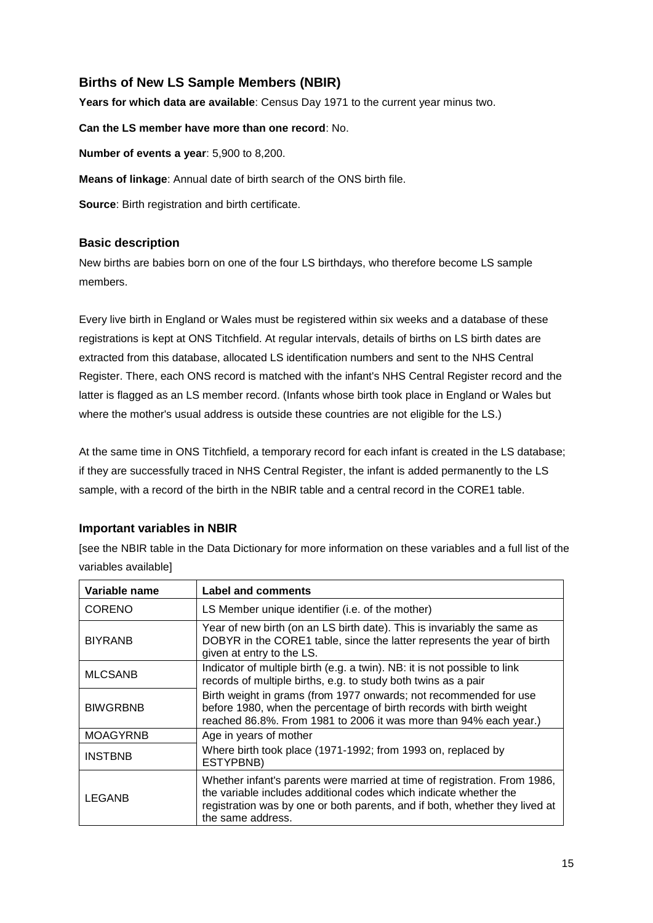# **Births of New LS Sample Members (NBIR)**

**Years for which data are available**: Census Day 1971 to the current year minus two.

**Can the LS member have more than one record**: No.

**Number of events a year**: 5,900 to 8,200.

**Means of linkage**: Annual date of birth search of the ONS birth file.

**Source**: Birth registration and birth certificate.

#### **Basic description**

New births are babies born on one of the four LS birthdays, who therefore become LS sample members.

Every live birth in England or Wales must be registered within six weeks and a database of these registrations is kept at ONS Titchfield. At regular intervals, details of births on LS birth dates are extracted from this database, allocated LS identification numbers and sent to the NHS Central Register. There, each ONS record is matched with the infant's NHS Central Register record and the latter is flagged as an LS member record. (Infants whose birth took place in England or Wales but where the mother's usual address is outside these countries are not eligible for the LS.)

At the same time in ONS Titchfield, a temporary record for each infant is created in the LS database; if they are successfully traced in NHS Central Register, the infant is added permanently to the LS sample, with a record of the birth in the NBIR table and a central record in the CORE1 table.

#### **Important variables in NBIR**

[see the NBIR table in the Data Dictionary for more information on these variables and a full list of the variables available]

| Variable name   | <b>Label and comments</b>                                                                                                                                                                                                                          |
|-----------------|----------------------------------------------------------------------------------------------------------------------------------------------------------------------------------------------------------------------------------------------------|
| <b>CORENO</b>   | LS Member unique identifier (i.e. of the mother)                                                                                                                                                                                                   |
| <b>BIYRANB</b>  | Year of new birth (on an LS birth date). This is invariably the same as<br>DOBYR in the CORE1 table, since the latter represents the year of birth<br>given at entry to the LS.                                                                    |
| <b>MLCSANB</b>  | Indicator of multiple birth (e.g. a twin). NB: it is not possible to link<br>records of multiple births, e.g. to study both twins as a pair                                                                                                        |
| <b>BIWGRBNB</b> | Birth weight in grams (from 1977 onwards; not recommended for use<br>before 1980, when the percentage of birth records with birth weight<br>reached 86.8%. From 1981 to 2006 it was more than 94% each year.)                                      |
| <b>MOAGYRNB</b> | Age in years of mother                                                                                                                                                                                                                             |
| <b>INSTBNB</b>  | Where birth took place (1971-1992; from 1993 on, replaced by<br>ESTYPBNB)                                                                                                                                                                          |
| LEGANB          | Whether infant's parents were married at time of registration. From 1986,<br>the variable includes additional codes which indicate whether the<br>registration was by one or both parents, and if both, whether they lived at<br>the same address. |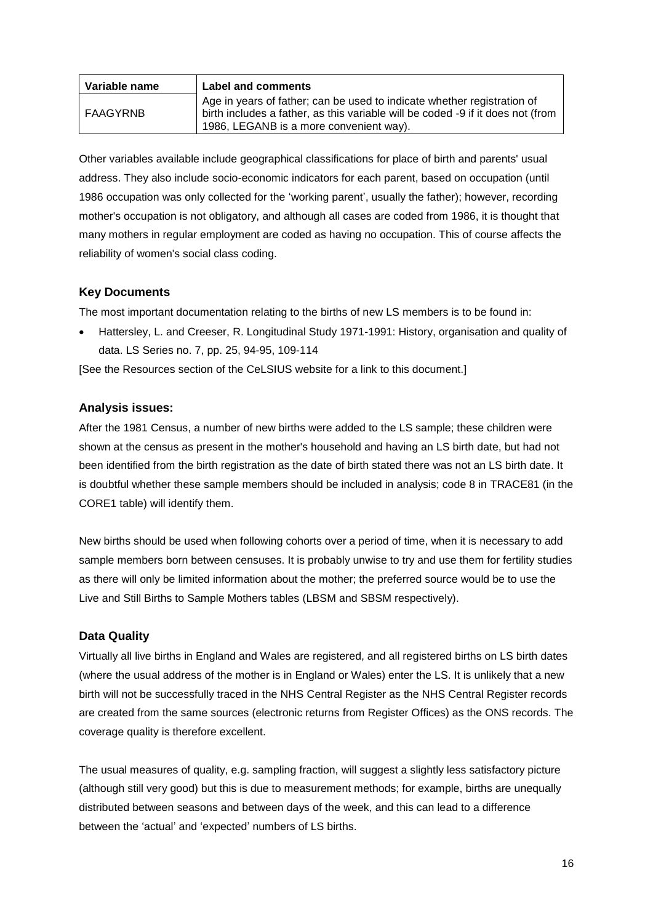| Variable name | Label and comments                                                                                                                                                                                    |
|---------------|-------------------------------------------------------------------------------------------------------------------------------------------------------------------------------------------------------|
| FAAGYRNB      | Age in years of father; can be used to indicate whether registration of<br>birth includes a father, as this variable will be coded -9 if it does not (from<br>1986, LEGANB is a more convenient way). |

Other variables available include geographical classifications for place of birth and parents' usual address. They also include socio-economic indicators for each parent, based on occupation (until 1986 occupation was only collected for the 'working parent', usually the father); however, recording mother's occupation is not obligatory, and although all cases are coded from 1986, it is thought that many mothers in regular employment are coded as having no occupation. This of course affects the reliability of women's social class coding.

### **Key Documents**

The most important documentation relating to the births of new LS members is to be found in:

 Hattersley, L. and Creeser, R. Longitudinal Study 1971-1991: History, organisation and quality of data. LS Series no. 7, pp. 25, 94-95, 109-114

[See the Resources section of the CeLSIUS website for a link to this document.]

#### **Analysis issues:**

After the 1981 Census, a number of new births were added to the LS sample; these children were shown at the census as present in the mother's household and having an LS birth date, but had not been identified from the birth registration as the date of birth stated there was not an LS birth date. It is doubtful whether these sample members should be included in analysis; code 8 in TRACE81 (in the CORE1 table) will identify them.

New births should be used when following cohorts over a period of time, when it is necessary to add sample members born between censuses. It is probably unwise to try and use them for fertility studies as there will only be limited information about the mother; the preferred source would be to use the Live and Still Births to Sample Mothers tables (LBSM and SBSM respectively).

#### **Data Quality**

Virtually all live births in England and Wales are registered, and all registered births on LS birth dates (where the usual address of the mother is in England or Wales) enter the LS. It is unlikely that a new birth will not be successfully traced in the NHS Central Register as the NHS Central Register records are created from the same sources (electronic returns from Register Offices) as the ONS records. The coverage quality is therefore excellent.

The usual measures of quality, e.g. sampling fraction, will suggest a slightly less satisfactory picture (although still very good) but this is due to measurement methods; for example, births are unequally distributed between seasons and between days of the week, and this can lead to a difference between the 'actual' and 'expected' numbers of LS births.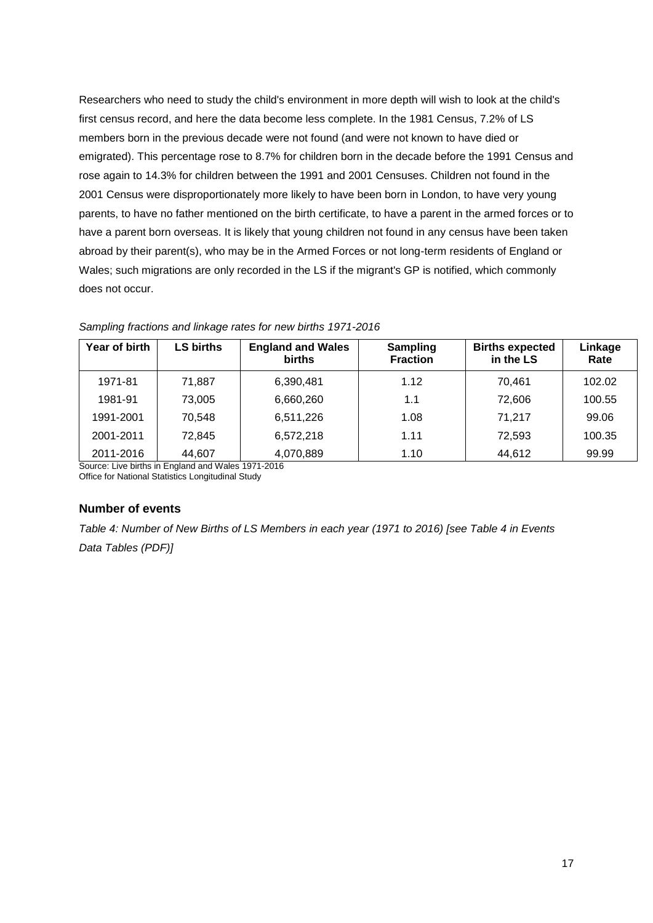Researchers who need to study the child's environment in more depth will wish to look at the child's first census record, and here the data become less complete. In the 1981 Census, 7.2% of LS members born in the previous decade were not found (and were not known to have died or emigrated). This percentage rose to 8.7% for children born in the decade before the 1991 Census and rose again to 14.3% for children between the 1991 and 2001 Censuses. Children not found in the 2001 Census were disproportionately more likely to have been born in London, to have very young parents, to have no father mentioned on the birth certificate, to have a parent in the armed forces or to have a parent born overseas. It is likely that young children not found in any census have been taken abroad by their parent(s), who may be in the Armed Forces or not long-term residents of England or Wales; such migrations are only recorded in the LS if the migrant's GP is notified, which commonly does not occur.

| Year of birth | <b>LS births</b> | <b>England and Wales</b><br><b>births</b> | <b>Sampling</b><br><b>Fraction</b> | <b>Births expected</b><br>in the LS | Linkage<br>Rate |
|---------------|------------------|-------------------------------------------|------------------------------------|-------------------------------------|-----------------|
| 1971-81       | 71,887           | 6,390,481                                 | 1.12                               | 70.461                              | 102.02          |
| 1981-91       | 73,005           | 6,660,260                                 | 1.1                                | 72,606                              | 100.55          |
| 1991-2001     | 70,548           | 6,511,226                                 | 1.08                               | 71,217                              | 99.06           |
| 2001-2011     | 72,845           | 6,572,218                                 | 1.11                               | 72,593                              | 100.35          |
| 2011-2016     | 44,607           | 4,070,889                                 | 1.10                               | 44,612                              | 99.99           |

*Sampling fractions and linkage rates for new births 1971-2016*

Source: Live births in England and Wales 1971-2016 Office for National Statistics Longitudinal Study

### **Number of events**

*Table 4: Number of New Births of LS Members in each year (1971 to 2016) [see Table 4 in Events Data Tables (PDF)]*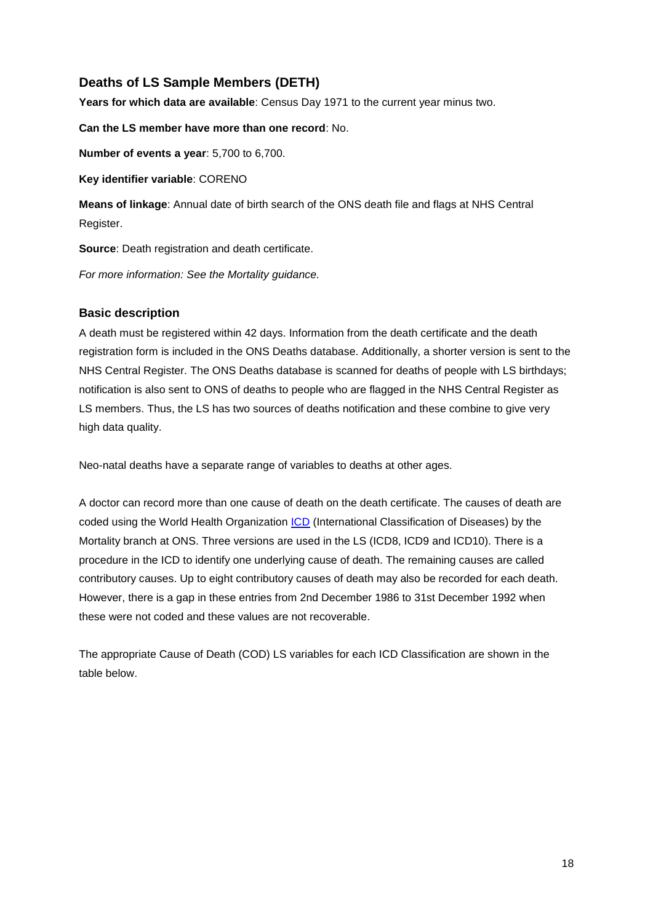# **Deaths of LS Sample Members (DETH)**

**Years for which data are available**: Census Day 1971 to the current year minus two.

**Can the LS member have more than one record**: No.

**Number of events a year**: 5,700 to 6,700.

**Key identifier variable**: CORENO

**Means of linkage**: Annual date of birth search of the ONS death file and flags at NHS Central Register.

**Source**: Death registration and death certificate.

*For more information: See the Mortality guidance.*

#### **Basic description**

A death must be registered within 42 days. Information from the death certificate and the death registration form is included in the ONS Deaths database. Additionally, a shorter version is sent to the NHS Central Register. The ONS Deaths database is scanned for deaths of people with LS birthdays; notification is also sent to ONS of deaths to people who are flagged in the NHS Central Register as LS members. Thus, the LS has two sources of deaths notification and these combine to give very high data quality.

Neo-natal deaths have a separate range of variables to deaths at other ages.

A doctor can record more than one cause of death on the death certificate. The causes of death are coded using the World Health Organization [ICD](https://www.who.int/classifications/en/) (International Classification of Diseases) by the Mortality branch at ONS. Three versions are used in the LS (ICD8, ICD9 and ICD10). There is a procedure in the ICD to identify one underlying cause of death. The remaining causes are called contributory causes. Up to eight contributory causes of death may also be recorded for each death. However, there is a gap in these entries from 2nd December 1986 to 31st December 1992 when these were not coded and these values are not recoverable.

The appropriate Cause of Death (COD) LS variables for each ICD Classification are shown in the table below.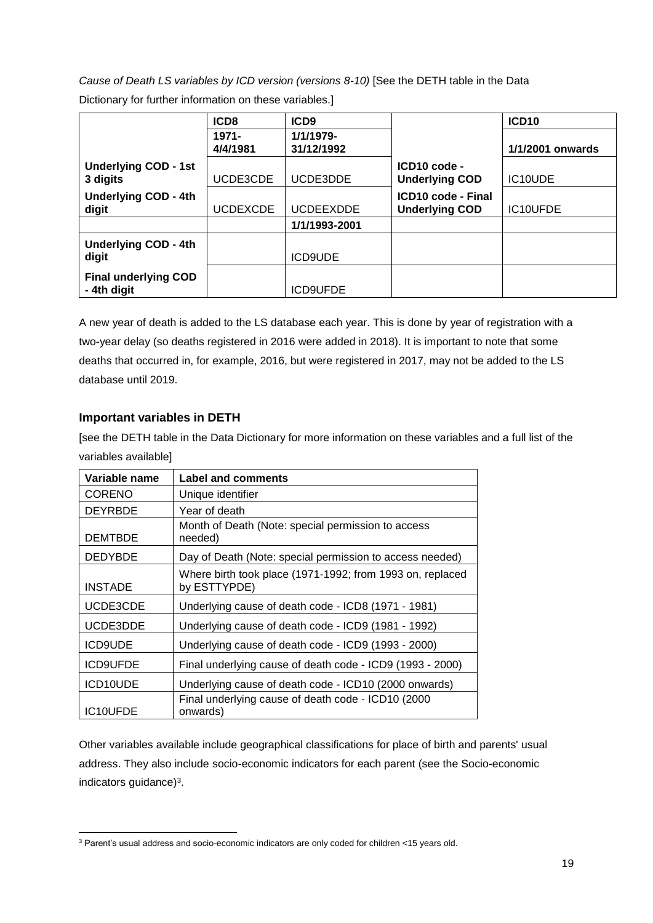*Cause of Death LS variables by ICD version (versions 8-10)* [See the DETH table in the Data Dictionary for further information on these variables.]

|                                            | ICD <sub>8</sub>     | ICD <sub>9</sub>        |                                             | ICD <sub>10</sub> |
|--------------------------------------------|----------------------|-------------------------|---------------------------------------------|-------------------|
|                                            | $1971 -$<br>4/4/1981 | 1/1/1979-<br>31/12/1992 |                                             | 1/1/2001 onwards  |
| <b>Underlying COD - 1st</b><br>3 digits    | UCDE3CDE             | UCDE3DDE                | ICD10 code -<br><b>Underlying COD</b>       | IC10UDE           |
| <b>Underlying COD - 4th</b><br>digit       | <b>UCDEXCDE</b>      | <b>UCDEEXDDE</b>        | ICD10 code - Final<br><b>Underlying COD</b> | IC10UFDE          |
|                                            |                      | 1/1/1993-2001           |                                             |                   |
| <b>Underlying COD - 4th</b><br>digit       |                      | <b>ICD9UDE</b>          |                                             |                   |
| <b>Final underlying COD</b><br>- 4th digit |                      | <b>ICD9UFDE</b>         |                                             |                   |

A new year of death is added to the LS database each year. This is done by year of registration with a two-year delay (so deaths registered in 2016 were added in 2018). It is important to note that some deaths that occurred in, for example, 2016, but were registered in 2017, may not be added to the LS database until 2019.

### **Important variables in DETH**

[see the DETH table in the Data Dictionary for more information on these variables and a full list of the variables available]

| Variable name   | <b>Label and comments</b>                                                 |
|-----------------|---------------------------------------------------------------------------|
| CORENO          | Unique identifier                                                         |
| <b>DEYRBDE</b>  | Year of death                                                             |
| <b>DEMTBDE</b>  | Month of Death (Note: special permission to access<br>needed)             |
| <b>DEDYBDE</b>  | Day of Death (Note: special permission to access needed)                  |
| <b>INSTADE</b>  | Where birth took place (1971-1992; from 1993 on, replaced<br>by ESTTYPDE) |
| UCDE3CDE        | Underlying cause of death code - ICD8 (1971 - 1981)                       |
| UCDE3DDE        | Underlying cause of death code - ICD9 (1981 - 1992)                       |
| <b>ICD9UDE</b>  | Underlying cause of death code - ICD9 (1993 - 2000)                       |
| <b>ICD9UFDE</b> | Final underlying cause of death code - ICD9 (1993 - 2000)                 |
| ICD10UDE        | Underlying cause of death code - ICD10 (2000 onwards)                     |
| IC10UFDE        | Final underlying cause of death code - ICD10 (2000<br>onwards)            |

Other variables available include geographical classifications for place of birth and parents' usual address. They also include socio-economic indicators for each parent (see the Socio-economic indicators guidance) 3 .

**<sup>.</sup>** <sup>3</sup> Parent's usual address and socio-economic indicators are only coded for children <15 years old.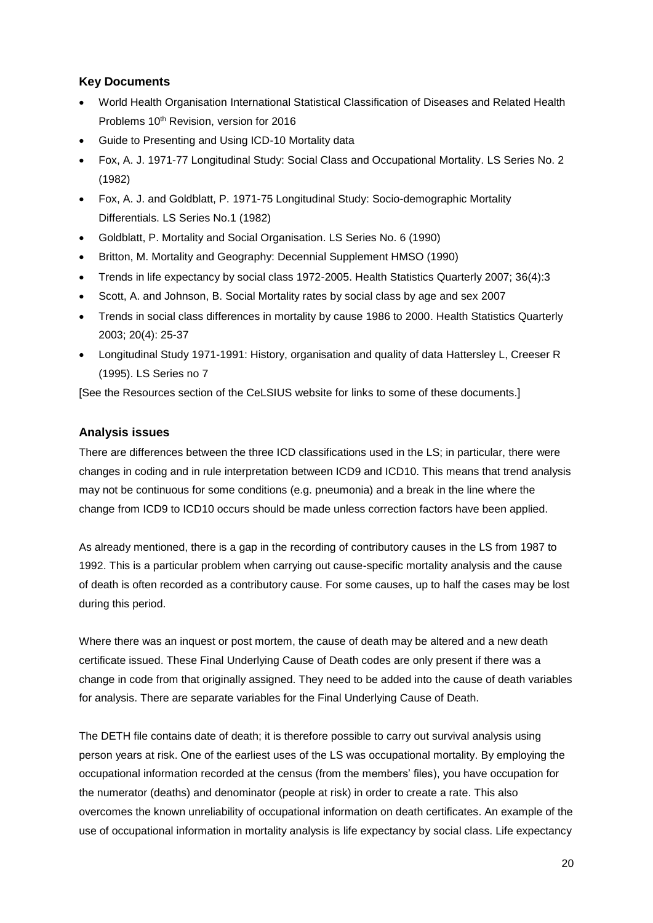### **Key Documents**

- World Health Organisation International Statistical Classification of Diseases and Related Health Problems 10<sup>th</sup> Revision, version for 2016
- Guide to Presenting and Using ICD-10 Mortality data
- Fox, A. J. 1971-77 Longitudinal Study: Social Class and Occupational Mortality. LS Series No. 2 (1982)
- Fox, A. J. and Goldblatt, P. 1971-75 Longitudinal Study: Socio-demographic Mortality Differentials. LS Series No.1 (1982)
- Goldblatt, P. Mortality and Social Organisation. LS Series No. 6 (1990)
- Britton, M. Mortality and Geography: Decennial Supplement HMSO (1990)
- Trends in life expectancy by social class 1972-2005. Health Statistics Quarterly 2007; 36(4):3
- Scott, A. and Johnson, B. Social Mortality rates by social class by age and sex 2007
- Trends in social class differences in mortality by cause 1986 to 2000. Health Statistics Quarterly 2003; 20(4): 25-37
- Longitudinal Study 1971-1991: History, organisation and quality of data Hattersley L, Creeser R (1995). LS Series no 7

[See the Resources section of the CeLSIUS website for links to some of these documents.]

#### **Analysis issues**

There are differences between the three ICD classifications used in the LS; in particular, there were changes in coding and in rule interpretation between ICD9 and ICD10. This means that trend analysis may not be continuous for some conditions (e.g. pneumonia) and a break in the line where the change from ICD9 to ICD10 occurs should be made unless correction factors have been applied.

As already mentioned, there is a gap in the recording of contributory causes in the LS from 1987 to 1992. This is a particular problem when carrying out cause-specific mortality analysis and the cause of death is often recorded as a contributory cause. For some causes, up to half the cases may be lost during this period.

Where there was an inquest or post mortem, the cause of death may be altered and a new death certificate issued. These Final Underlying Cause of Death codes are only present if there was a change in code from that originally assigned. They need to be added into the cause of death variables for analysis. There are separate variables for the Final Underlying Cause of Death.

The DETH file contains date of death; it is therefore possible to carry out survival analysis using person years at risk. One of the earliest uses of the LS was occupational mortality. By employing the occupational information recorded at the census (from the members' files), you have occupation for the numerator (deaths) and denominator (people at risk) in order to create a rate. This also overcomes the known unreliability of occupational information on death certificates. An example of the use of occupational information in mortality analysis is life expectancy by social class. Life expectancy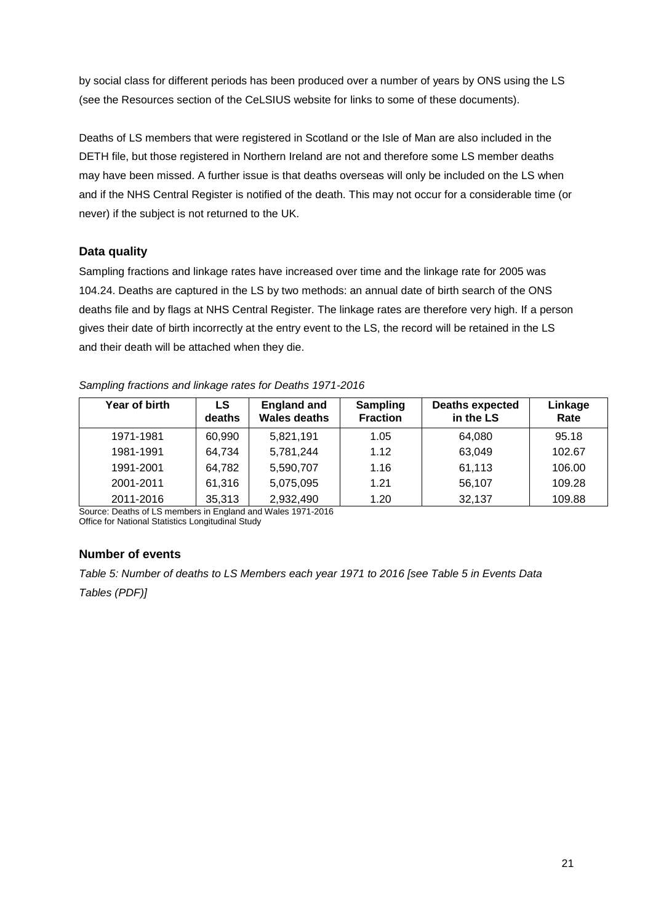by social class for different periods has been produced over a number of years by ONS using the LS (see the Resources section of the CeLSIUS website for links to some of these documents).

Deaths of LS members that were registered in Scotland or the Isle of Man are also included in the DETH file, but those registered in Northern Ireland are not and therefore some LS member deaths may have been missed. A further issue is that deaths overseas will only be included on the LS when and if the NHS Central Register is notified of the death. This may not occur for a considerable time (or never) if the subject is not returned to the UK.

### **Data quality**

Sampling fractions and linkage rates have increased over time and the linkage rate for 2005 was 104.24. Deaths are captured in the LS by two methods: an annual date of birth search of the ONS deaths file and by flags at NHS Central Register. The linkage rates are therefore very high. If a person gives their date of birth incorrectly at the entry event to the LS, the record will be retained in the LS and their death will be attached when they die.

#### *Sampling fractions and linkage rates for Deaths 1971-2016*

| Year of birth | LS<br>deaths | <b>England and</b><br>Wales deaths | <b>Sampling</b><br><b>Fraction</b> | <b>Deaths expected</b><br>in the LS | Linkage<br>Rate |
|---------------|--------------|------------------------------------|------------------------------------|-------------------------------------|-----------------|
| 1971-1981     | 60,990       | 5,821,191                          | 1.05                               | 64,080                              | 95.18           |
| 1981-1991     | 64,734       | 5,781,244                          | 1.12                               | 63,049                              | 102.67          |
| 1991-2001     | 64,782       | 5,590,707                          | 1.16                               | 61,113                              | 106.00          |
| 2001-2011     | 61,316       | 5,075,095                          | 1.21                               | 56,107                              | 109.28          |
| 2011-2016     | 35,313       | 2,932,490                          | 1.20                               | 32,137                              | 109.88          |

Source: Deaths of LS members in England and Wales 1971-2016 Office for National Statistics Longitudinal Study

#### **Number of events**

*Table 5: Number of deaths to LS Members each year 1971 to 2016 [see Table 5 in Events Data Tables (PDF)]*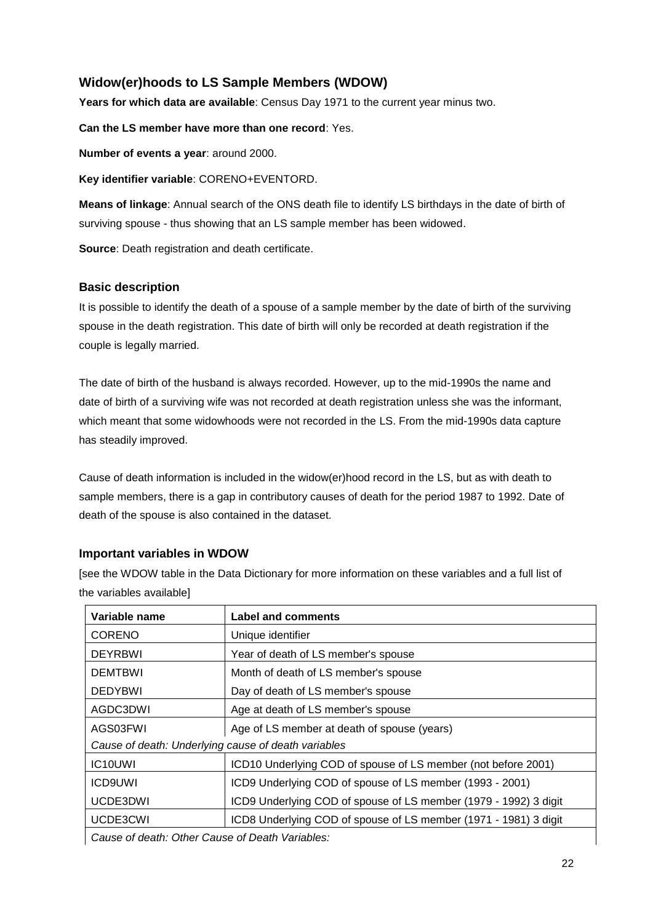# **Widow(er)hoods to LS Sample Members (WDOW)**

**Years for which data are available**: Census Day 1971 to the current year minus two.

**Can the LS member have more than one record**: Yes.

**Number of events a year**: around 2000.

**Key identifier variable**: CORENO+EVENTORD.

**Means of linkage**: Annual search of the ONS death file to identify LS birthdays in the date of birth of surviving spouse - thus showing that an LS sample member has been widowed.

**Source**: Death registration and death certificate.

#### **Basic description**

It is possible to identify the death of a spouse of a sample member by the date of birth of the surviving spouse in the death registration. This date of birth will only be recorded at death registration if the couple is legally married.

The date of birth of the husband is always recorded. However, up to the mid-1990s the name and date of birth of a surviving wife was not recorded at death registration unless she was the informant, which meant that some widowhoods were not recorded in the LS. From the mid-1990s data capture has steadily improved.

Cause of death information is included in the widow(er)hood record in the LS, but as with death to sample members, there is a gap in contributory causes of death for the period 1987 to 1992. Date of death of the spouse is also contained in the dataset.

#### **Important variables in WDOW**

[see the WDOW table in the Data Dictionary for more information on these variables and a full list of the variables available]

| Variable name                                       | <b>Label and comments</b>                                        |  |
|-----------------------------------------------------|------------------------------------------------------------------|--|
| <b>CORENO</b>                                       | Unique identifier                                                |  |
| <b>DEYRBWI</b>                                      | Year of death of LS member's spouse                              |  |
| <b>DEMTBWI</b>                                      | Month of death of LS member's spouse                             |  |
| <b>DEDYBWI</b>                                      | Day of death of LS member's spouse                               |  |
| AGDC3DWI                                            | Age at death of LS member's spouse                               |  |
| AGS03FWI                                            | Age of LS member at death of spouse (years)                      |  |
| Cause of death: Underlying cause of death variables |                                                                  |  |
| IC <sub>10</sub> UWI                                | ICD10 Underlying COD of spouse of LS member (not before 2001)    |  |
| <b>ICD9UWI</b>                                      | ICD9 Underlying COD of spouse of LS member (1993 - 2001)         |  |
| UCDE3DWI                                            | ICD9 Underlying COD of spouse of LS member (1979 - 1992) 3 digit |  |
| UCDE3CWI                                            | ICD8 Underlying COD of spouse of LS member (1971 - 1981) 3 digit |  |
|                                                     |                                                                  |  |

*Cause of death: Other Cause of Death Variables:*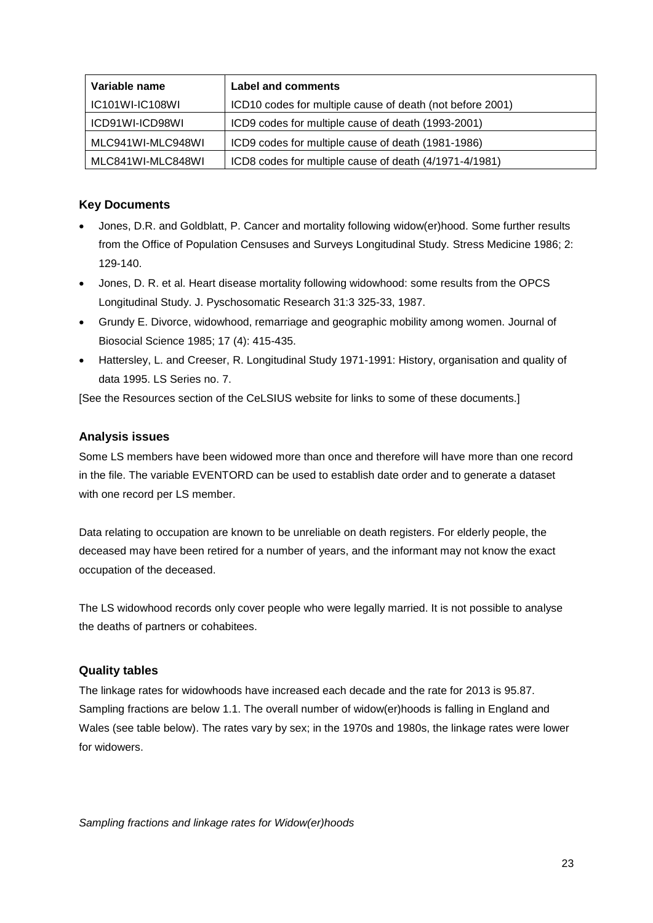| Variable name     | Label and comments                                        |
|-------------------|-----------------------------------------------------------|
| IC101WI-IC108WI   | ICD10 codes for multiple cause of death (not before 2001) |
| ICD91WI-ICD98WI   | ICD9 codes for multiple cause of death (1993-2001)        |
| MLC941WI-MLC948WI | ICD9 codes for multiple cause of death (1981-1986)        |
| MLC841WI-MLC848WI | ICD8 codes for multiple cause of death (4/1971-4/1981)    |

#### **Key Documents**

- Jones, D.R. and Goldblatt, P. Cancer and mortality following widow(er)hood. Some further results from the Office of Population Censuses and Surveys Longitudinal Study. Stress Medicine 1986; 2: 129-140.
- Jones, D. R. et al. Heart disease mortality following widowhood: some results from the OPCS Longitudinal Study. J. Pyschosomatic Research 31:3 325-33, 1987.
- Grundy E. Divorce, widowhood, remarriage and geographic mobility among women. Journal of Biosocial Science 1985; 17 (4): 415-435.
- Hattersley, L. and Creeser, R. Longitudinal Study 1971-1991: History, organisation and quality of data 1995. LS Series no. 7.

[See the Resources section of the CeLSIUS website for links to some of these documents.]

#### **Analysis issues**

Some LS members have been widowed more than once and therefore will have more than one record in the file. The variable EVENTORD can be used to establish date order and to generate a dataset with one record per LS member.

Data relating to occupation are known to be unreliable on death registers. For elderly people, the deceased may have been retired for a number of years, and the informant may not know the exact occupation of the deceased.

The LS widowhood records only cover people who were legally married. It is not possible to analyse the deaths of partners or cohabitees.

#### **Quality tables**

The linkage rates for widowhoods have increased each decade and the rate for 2013 is 95.87. Sampling fractions are below 1.1. The overall number of widow(er)hoods is falling in England and Wales (see table below). The rates vary by sex; in the 1970s and 1980s, the linkage rates were lower for widowers.

*Sampling fractions and linkage rates for Widow(er)hoods*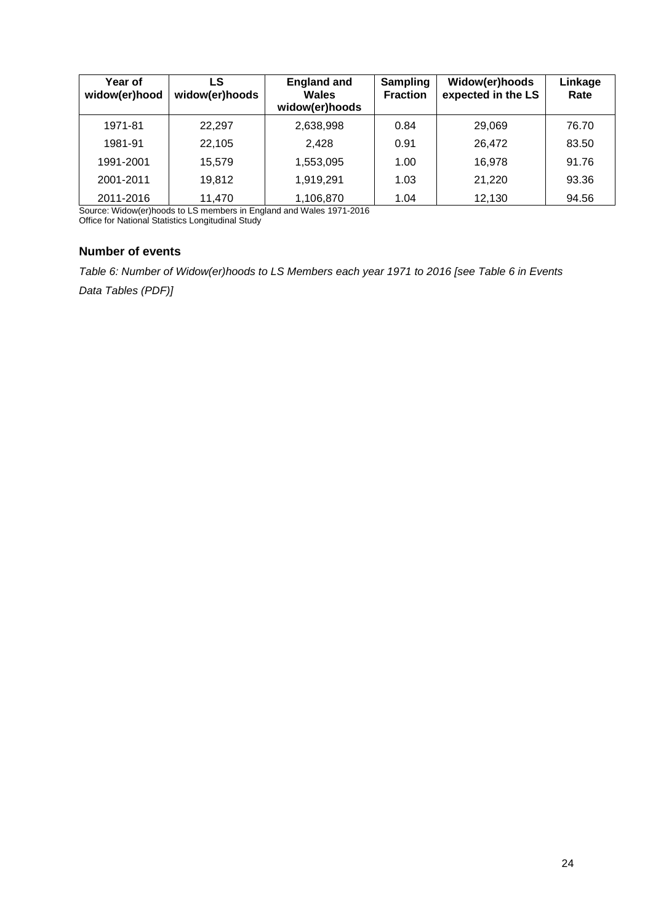| Year of<br>widow(er)hood | LS<br>widow(er)hoods | <b>England and</b><br><b>Wales</b><br>widow(er)hoods | <b>Sampling</b><br><b>Fraction</b> | Widow(er)hoods<br>expected in the LS | Linkage<br>Rate |
|--------------------------|----------------------|------------------------------------------------------|------------------------------------|--------------------------------------|-----------------|
| 1971-81                  | 22,297               | 2,638,998                                            | 0.84                               | 29,069                               | 76.70           |
| 1981-91                  | 22,105               | 2.428                                                | 0.91                               | 26,472                               | 83.50           |
| 1991-2001                | 15,579               | 1,553,095                                            | 1.00                               | 16,978                               | 91.76           |
| 2001-2011                | 19,812               | 1,919,291                                            | 1.03                               | 21,220                               | 93.36           |
| 2011-2016                | 11,470               | 1,106,870                                            | 1.04                               | 12,130                               | 94.56           |

Source: Widow(er)hoods to LS members in England and Wales 1971-2016 Office for National Statistics Longitudinal Study

#### **Number of events**

*Table 6: Number of Widow(er)hoods to LS Members each year 1971 to 2016 [see Table 6 in Events Data Tables (PDF)]*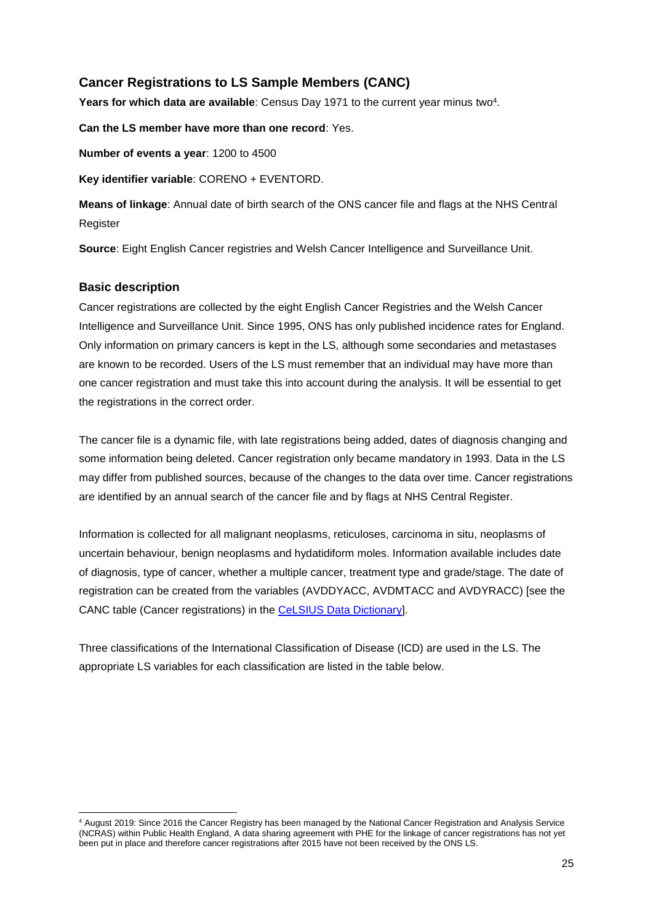# **Cancer Registrations to LS Sample Members (CANC)**

Years for which data are available: Census Day 1971 to the current year minus two<sup>4</sup>.

**Can the LS member have more than one record**: Yes.

**Number of events a year**: 1200 to 4500

**Key identifier variable**: CORENO + EVENTORD.

**Means of linkage**: Annual date of birth search of the ONS cancer file and flags at the NHS Central **Register** 

**Source**: Eight English Cancer registries and Welsh Cancer Intelligence and Surveillance Unit.

#### **Basic description**

Cancer registrations are collected by the eight English Cancer Registries and the Welsh Cancer Intelligence and Surveillance Unit. Since 1995, ONS has only published incidence rates for England. Only information on primary cancers is kept in the LS, although some secondaries and metastases are known to be recorded. Users of the LS must remember that an individual may have more than one cancer registration and must take this into account during the analysis. It will be essential to get the registrations in the correct order.

The cancer file is a dynamic file, with late registrations being added, dates of diagnosis changing and some information being deleted. Cancer registration only became mandatory in 1993. Data in the LS may differ from published sources, because of the changes to the data over time. Cancer registrations are identified by an annual search of the cancer file and by flags at NHS Central Register.

Information is collected for all malignant neoplasms, reticuloses, carcinoma in situ, neoplasms of uncertain behaviour, benign neoplasms and hydatidiform moles. Information available includes date of diagnosis, type of cancer, whether a multiple cancer, treatment type and grade/stage. The date of registration can be created from the variables (AVDDYACC, AVDMTACC and AVDYRACC) [see the CANC table (Cancer registrations) in the CeLSIUS [Data Dictionary\]](https://www.ucl.ac.uk/infostudies/silva-php-resources/researchProjects/celsius/standalone/listTables.php).

Three classifications of the International Classification of Disease (ICD) are used in the LS. The appropriate LS variables for each classification are listed in the table below.

**<sup>.</sup>** <sup>4</sup> August 2019: Since 2016 the Cancer Registry has been managed by the National Cancer Registration and Analysis Service (NCRAS) within Public Health England, A data sharing agreement with PHE for the linkage of cancer registrations has not yet been put in place and therefore cancer registrations after 2015 have not been received by the ONS LS.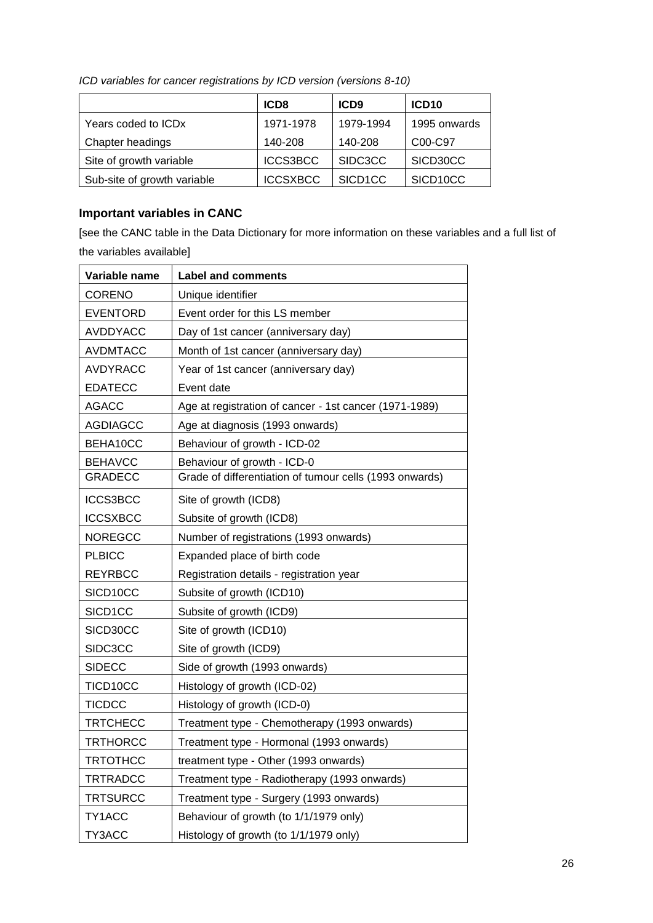|                             | ICD <sub>8</sub> | ICD <sub>9</sub> | ICD <sub>10</sub> |
|-----------------------------|------------------|------------------|-------------------|
| Years coded to ICDx         | 1971-1978        | 1979-1994        | 1995 onwards      |
| Chapter headings            | 140-208          | 140-208          | C00-C97           |
| Site of growth variable     | <b>ICCS3BCC</b>  | SIDC3CC          | SICD30CC          |
| Sub-site of growth variable | <b>ICCSXBCC</b>  | SICD1CC          | SICD10CC          |

*ICD variables for cancer registrations by ICD version (versions 8-10)*

# **Important variables in CANC**

[see the CANC table in the Data Dictionary for more information on these variables and a full list of the variables available]

| Variable name   | <b>Label and comments</b>                               |
|-----------------|---------------------------------------------------------|
| <b>CORENO</b>   | Unique identifier                                       |
| <b>EVENTORD</b> | Event order for this LS member                          |
| <b>AVDDYACC</b> | Day of 1st cancer (anniversary day)                     |
| <b>AVDMTACC</b> | Month of 1st cancer (anniversary day)                   |
| <b>AVDYRACC</b> | Year of 1st cancer (anniversary day)                    |
| <b>EDATECC</b>  | Event date                                              |
| <b>AGACC</b>    | Age at registration of cancer - 1st cancer (1971-1989)  |
| <b>AGDIAGCC</b> | Age at diagnosis (1993 onwards)                         |
| BEHA10CC        | Behaviour of growth - ICD-02                            |
| <b>BEHAVCC</b>  | Behaviour of growth - ICD-0                             |
| <b>GRADECC</b>  | Grade of differentiation of tumour cells (1993 onwards) |
| ICCS3BCC        | Site of growth (ICD8)                                   |
| <b>ICCSXBCC</b> | Subsite of growth (ICD8)                                |
| <b>NOREGCC</b>  | Number of registrations (1993 onwards)                  |
| <b>PLBICC</b>   | Expanded place of birth code                            |
| <b>REYRBCC</b>  | Registration details - registration year                |
| SICD10CC        | Subsite of growth (ICD10)                               |
| SICD1CC         | Subsite of growth (ICD9)                                |
| SICD30CC        | Site of growth (ICD10)                                  |
| SIDC3CC         | Site of growth (ICD9)                                   |
| <b>SIDECC</b>   | Side of growth (1993 onwards)                           |
| TICD10CC        | Histology of growth (ICD-02)                            |
| <b>TICDCC</b>   | Histology of growth (ICD-0)                             |
| <b>TRTCHECC</b> | Treatment type - Chemotherapy (1993 onwards)            |
| <b>TRTHORCC</b> | Treatment type - Hormonal (1993 onwards)                |
| <b>TRTOTHCC</b> | treatment type - Other (1993 onwards)                   |
| <b>TRTRADCC</b> | Treatment type - Radiotherapy (1993 onwards)            |
| <b>TRTSURCC</b> | Treatment type - Surgery (1993 onwards)                 |
| TY1ACC          | Behaviour of growth (to 1/1/1979 only)                  |
| TY3ACC          | Histology of growth (to 1/1/1979 only)                  |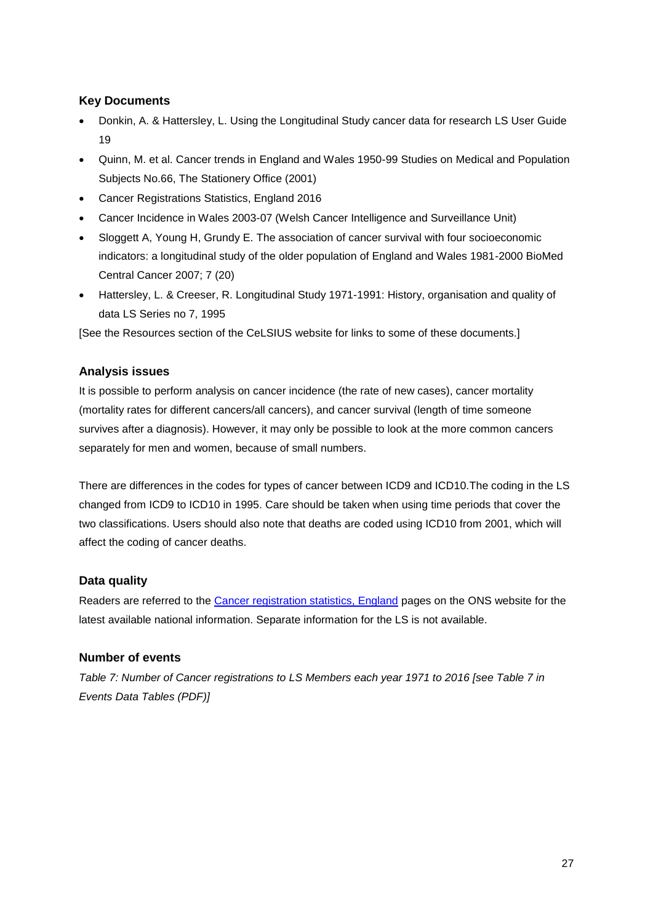### **Key Documents**

- Donkin, A. & Hattersley, L. Using the Longitudinal Study cancer data for research LS User Guide 19
- Quinn, M. et al. Cancer trends in England and Wales 1950-99 Studies on Medical and Population Subjects No.66, The Stationery Office (2001)
- Cancer Registrations Statistics, England 2016
- Cancer Incidence in Wales 2003-07 (Welsh Cancer Intelligence and Surveillance Unit)
- Sloggett A, Young H, Grundy E. The association of cancer survival with four socioeconomic indicators: a longitudinal study of the older population of England and Wales 1981-2000 BioMed Central Cancer 2007; 7 (20)
- Hattersley, L. & Creeser, R. Longitudinal Study 1971-1991: History, organisation and quality of data LS Series no 7, 1995

[See the Resources section of the CeLSIUS website for links to some of these documents.]

#### **Analysis issues**

It is possible to perform analysis on cancer incidence (the rate of new cases), cancer mortality (mortality rates for different cancers/all cancers), and cancer survival (length of time someone survives after a diagnosis). However, it may only be possible to look at the more common cancers separately for men and women, because of small numbers.

There are differences in the codes for types of cancer between ICD9 and ICD10.The coding in the LS changed from ICD9 to ICD10 in 1995. Care should be taken when using time periods that cover the two classifications. Users should also note that deaths are coded using ICD10 from 2001, which will affect the coding of cancer deaths.

#### **Data quality**

Readers are referred to the [Cancer registration statistics, England](https://www.ons.gov.uk/peoplepopulationandcommunity/healthandsocialcare/conditionsanddiseases/datasets/cancerregistrationstatisticscancerregistrationstatisticsengland) pages on the ONS website for the latest available national information. Separate information for the LS is not available.

#### **Number of events**

*Table 7: Number of Cancer registrations to LS Members each year 1971 to 2016 [see Table 7 in Events Data Tables (PDF)]*